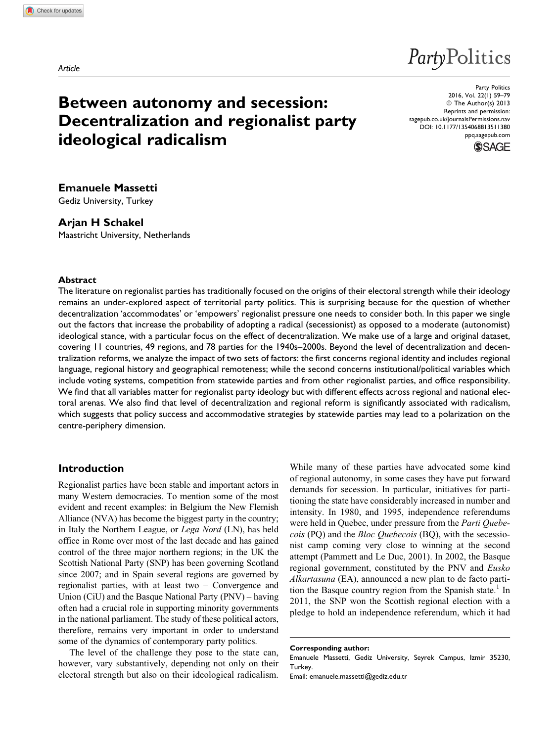# PartyPolitics

## Between autonomy and secession: Decentralization and regionalist party ideological radicalism

Party Politics 2016, Vol. 22(1) 59–79 © The Author(s) 2013 Reprints and permission: [sagepub.co.uk/journalsPermissions.nav](http://www.sagepub.co.uk/journalsPermissions.nav) DOI: 10.1177/1354068813511380 [ppq.sagepub.com](http://ppq.sagepub.com)



Emanuele Massetti Gediz University, Turkey

## Arjan H Schakel

Maastricht University, Netherlands

#### Abstract

The literature on regionalist parties has traditionally focused on the origins of their electoral strength while their ideology remains an under-explored aspect of territorial party politics. This is surprising because for the question of whether decentralization 'accommodates' or 'empowers' regionalist pressure one needs to consider both. In this paper we single out the factors that increase the probability of adopting a radical (secessionist) as opposed to a moderate (autonomist) ideological stance, with a particular focus on the effect of decentralization. We make use of a large and original dataset, covering 11 countries, 49 regions, and 78 parties for the 1940s–2000s. Beyond the level of decentralization and decentralization reforms, we analyze the impact of two sets of factors: the first concerns regional identity and includes regional language, regional history and geographical remoteness; while the second concerns institutional/political variables which include voting systems, competition from statewide parties and from other regionalist parties, and office responsibility. We find that all variables matter for regionalist party ideology but with different effects across regional and national electoral arenas. We also find that level of decentralization and regional reform is significantly associated with radicalism, which suggests that policy success and accommodative strategies by statewide parties may lead to a polarization on the centre-periphery dimension.

## Introduction

Regionalist parties have been stable and important actors in many Western democracies. To mention some of the most evident and recent examples: in Belgium the New Flemish Alliance (NVA) has become the biggest party in the country; in Italy the Northern League, or Lega Nord (LN), has held office in Rome over most of the last decade and has gained control of the three major northern regions; in the UK the Scottish National Party (SNP) has been governing Scotland since 2007; and in Spain several regions are governed by regionalist parties, with at least two – Convergence and Union (CiU) and the Basque National Party (PNV) – having often had a crucial role in supporting minority governments in the national parliament. The study of these political actors, therefore, remains very important in order to understand some of the dynamics of contemporary party politics.

The level of the challenge they pose to the state can, however, vary substantively, depending not only on their electoral strength but also on their ideological radicalism.

While many of these parties have advocated some kind of regional autonomy, in some cases they have put forward demands for secession. In particular, initiatives for partitioning the state have considerably increased in number and intensity. In 1980, and 1995, independence referendums were held in Quebec, under pressure from the Parti Quebecois (PQ) and the Bloc Quebecois (BQ), with the secessionist camp coming very close to winning at the second attempt (Pammett and Le Duc, 2001). In 2002, the Basque regional government, constituted by the PNV and Eusko Alkartasuna (EA), announced a new plan to de facto partition the Basque country region from the Spanish state.<sup>1</sup> In 2011, the SNP won the Scottish regional election with a pledge to hold an independence referendum, which it had

Corresponding author:

Emanuele Massetti, Gediz University, Seyrek Campus, Izmir 35230, **Turkey** 

Email: emanuele.massetti@gediz.edu.tr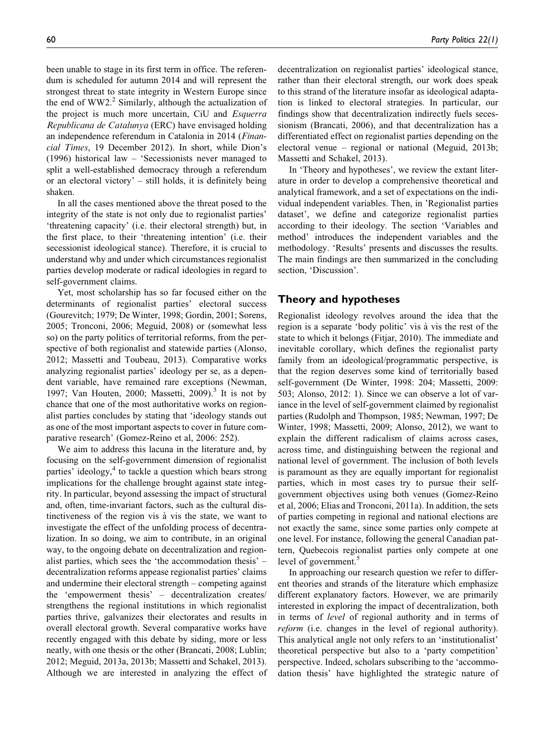been unable to stage in its first term in office. The referendum is scheduled for autumn 2014 and will represent the strongest threat to state integrity in Western Europe since the end of  $WW2<sup>2</sup>$  Similarly, although the actualization of the project is much more uncertain, CiU and Esquerra Republicana de Catalunya (ERC) have envisaged holding an independence referendum in Catalonia in 2014 (Financial Times, 19 December 2012). In short, while Dion's (1996) historical law – 'Secessionists never managed to split a well-established democracy through a referendum or an electoral victory' – still holds, it is definitely being shaken.

In all the cases mentioned above the threat posed to the integrity of the state is not only due to regionalist parties' 'threatening capacity' (i.e. their electoral strength) but, in the first place, to their 'threatening intention' (i.e. their secessionist ideological stance). Therefore, it is crucial to understand why and under which circumstances regionalist parties develop moderate or radical ideologies in regard to self-government claims.

Yet, most scholarship has so far focused either on the determinants of regionalist parties' electoral success (Gourevitch; 1979; De Winter, 1998; Gordin, 2001; Sorens, 2005; Tronconi, 2006; Meguid, 2008) or (somewhat less so) on the party politics of territorial reforms, from the perspective of both regionalist and statewide parties (Alonso, 2012; Massetti and Toubeau, 2013). Comparative works analyzing regionalist parties' ideology per se, as a dependent variable, have remained rare exceptions (Newman, 1997; Van Houten, 2000; Massetti, 2009).<sup>3</sup> It is not by chance that one of the most authoritative works on regionalist parties concludes by stating that 'ideology stands out as one of the most important aspects to cover in future comparative research' (Gomez-Reino et al, 2006: 252).

We aim to address this lacuna in the literature and, by focusing on the self-government dimension of regionalist parties' ideology,<sup>4</sup> to tackle a question which bears strong implications for the challenge brought against state integrity. In particular, beyond assessing the impact of structural and, often, time-invariant factors, such as the cultural distinctiveness of the region vis à vis the state, we want to investigate the effect of the unfolding process of decentralization. In so doing, we aim to contribute, in an original way, to the ongoing debate on decentralization and regionalist parties, which sees the 'the accommodation thesis' – decentralization reforms appease regionalist parties' claims and undermine their electoral strength – competing against the 'empowerment thesis' – decentralization creates/ strengthens the regional institutions in which regionalist parties thrive, galvanizes their electorates and results in overall electoral growth. Several comparative works have recently engaged with this debate by siding, more or less neatly, with one thesis or the other (Brancati, 2008; Lublin; 2012; Meguid, 2013a, 2013b; Massetti and Schakel, 2013). Although we are interested in analyzing the effect of decentralization on regionalist parties' ideological stance, rather than their electoral strength, our work does speak to this strand of the literature insofar as ideological adaptation is linked to electoral strategies. In particular, our findings show that decentralization indirectly fuels secessionism (Brancati, 2006), and that decentralization has a differentiated effect on regionalist parties depending on the electoral venue – regional or national (Meguid, 2013b; Massetti and Schakel, 2013).

In 'Theory and hypotheses', we review the extant literature in order to develop a comprehensive theoretical and analytical framework, and a set of expectations on the individual independent variables. Then, in 'Regionalist parties dataset', we define and categorize regionalist parties according to their ideology. The section 'Variables and method' introduces the independent variables and the methodology. 'Results' presents and discusses the results. The main findings are then summarized in the concluding section, 'Discussion'.

## Theory and hypotheses

Regionalist ideology revolves around the idea that the region is a separate 'body politic' vis à vis the rest of the state to which it belongs (Fitjar, 2010). The immediate and inevitable corollary, which defines the regionalist party family from an ideological/programmatic perspective, is that the region deserves some kind of territorially based self-government (De Winter, 1998: 204; Massetti, 2009: 503; Alonso, 2012: 1). Since we can observe a lot of variance in the level of self-government claimed by regionalist parties (Rudolph and Thompson, 1985; Newman, 1997; De Winter, 1998; Massetti, 2009; Alonso, 2012), we want to explain the different radicalism of claims across cases, across time, and distinguishing between the regional and national level of government. The inclusion of both levels is paramount as they are equally important for regionalist parties, which in most cases try to pursue their selfgovernment objectives using both venues (Gomez-Reino et al, 2006; Elias and Tronconi, 2011a). In addition, the sets of parties competing in regional and national elections are not exactly the same, since some parties only compete at one level. For instance, following the general Canadian pattern, Quebecois regionalist parties only compete at one level of government.<sup>5</sup>

In approaching our research question we refer to different theories and strands of the literature which emphasize different explanatory factors. However, we are primarily interested in exploring the impact of decentralization, both in terms of level of regional authority and in terms of reform (i.e. changes in the level of regional authority). This analytical angle not only refers to an 'institutionalist' theoretical perspective but also to a 'party competition' perspective. Indeed, scholars subscribing to the 'accommodation thesis' have highlighted the strategic nature of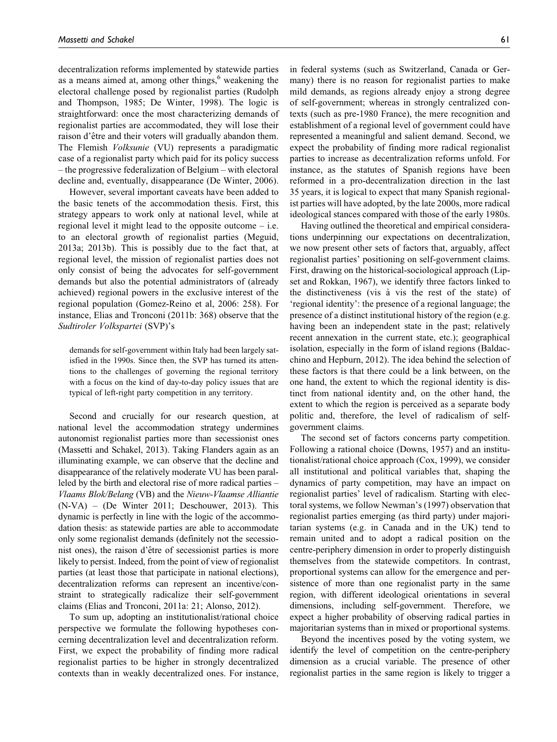decentralization reforms implemented by statewide parties as a means aimed at, among other things, $6$  weakening the electoral challenge posed by regionalist parties (Rudolph and Thompson, 1985; De Winter, 1998). The logic is straightforward: once the most characterizing demands of regionalist parties are accommodated, they will lose their raison d'être and their voters will gradually abandon them. The Flemish Volksunie (VU) represents a paradigmatic case of a regionalist party which paid for its policy success – the progressive federalization of Belgium – with electoral decline and, eventually, disappearance (De Winter, 2006).

However, several important caveats have been added to the basic tenets of the accommodation thesis. First, this strategy appears to work only at national level, while at regional level it might lead to the opposite outcome – i.e. to an electoral growth of regionalist parties (Meguid, 2013a; 2013b). This is possibly due to the fact that, at regional level, the mission of regionalist parties does not only consist of being the advocates for self-government demands but also the potential administrators of (already achieved) regional powers in the exclusive interest of the regional population (Gomez-Reino et al, 2006: 258). For instance, Elias and Tronconi (2011b: 368) observe that the Sudtiroler Volkspartei (SVP)'s

demands for self-government within Italy had been largely satisfied in the 1990s. Since then, the SVP has turned its attentions to the challenges of governing the regional territory with a focus on the kind of day-to-day policy issues that are typical of left-right party competition in any territory.

Second and crucially for our research question, at national level the accommodation strategy undermines autonomist regionalist parties more than secessionist ones (Massetti and Schakel, 2013). Taking Flanders again as an illuminating example, we can observe that the decline and disappearance of the relatively moderate VU has been paralleled by the birth and electoral rise of more radical parties – Vlaams Blok/Belang (VB) and the Nieuw-Vlaamse Alliantie (N-VA) – (De Winter 2011; Deschouwer, 2013). This dynamic is perfectly in line with the logic of the accommodation thesis: as statewide parties are able to accommodate only some regionalist demands (definitely not the secessionist ones), the raison d'être of secessionist parties is more likely to persist. Indeed, from the point of view of regionalist parties (at least those that participate in national elections), decentralization reforms can represent an incentive/constraint to strategically radicalize their self-government claims (Elias and Tronconi, 2011a: 21; Alonso, 2012).

To sum up, adopting an institutionalist/rational choice perspective we formulate the following hypotheses concerning decentralization level and decentralization reform. First, we expect the probability of finding more radical regionalist parties to be higher in strongly decentralized contexts than in weakly decentralized ones. For instance,

in federal systems (such as Switzerland, Canada or Germany) there is no reason for regionalist parties to make mild demands, as regions already enjoy a strong degree of self-government; whereas in strongly centralized contexts (such as pre-1980 France), the mere recognition and establishment of a regional level of government could have represented a meaningful and salient demand. Second, we expect the probability of finding more radical regionalist parties to increase as decentralization reforms unfold. For instance, as the statutes of Spanish regions have been reformed in a pro-decentralization direction in the last 35 years, it is logical to expect that many Spanish regionalist parties will have adopted, by the late 2000s, more radical ideological stances compared with those of the early 1980s.

Having outlined the theoretical and empirical considerations underpinning our expectations on decentralization, we now present other sets of factors that, arguably, affect regionalist parties' positioning on self-government claims. First, drawing on the historical-sociological approach (Lipset and Rokkan, 1967), we identify three factors linked to the distinctiveness (vis à vis the rest of the state) of 'regional identity': the presence of a regional language; the presence of a distinct institutional history of the region (e.g. having been an independent state in the past; relatively recent annexation in the current state, etc.); geographical isolation, especially in the form of island regions (Baldacchino and Hepburn, 2012). The idea behind the selection of these factors is that there could be a link between, on the one hand, the extent to which the regional identity is distinct from national identity and, on the other hand, the extent to which the region is perceived as a separate body politic and, therefore, the level of radicalism of selfgovernment claims.

The second set of factors concerns party competition. Following a rational choice (Downs, 1957) and an institutionalist/rational choice approach (Cox, 1999), we consider all institutional and political variables that, shaping the dynamics of party competition, may have an impact on regionalist parties' level of radicalism. Starting with electoral systems, we follow Newman's (1997) observation that regionalist parties emerging (as third party) under majoritarian systems (e.g. in Canada and in the UK) tend to remain united and to adopt a radical position on the centre-periphery dimension in order to properly distinguish themselves from the statewide competitors. In contrast, proportional systems can allow for the emergence and persistence of more than one regionalist party in the same region, with different ideological orientations in several dimensions, including self-government. Therefore, we expect a higher probability of observing radical parties in majoritarian systems than in mixed or proportional systems.

Beyond the incentives posed by the voting system, we identify the level of competition on the centre-periphery dimension as a crucial variable. The presence of other regionalist parties in the same region is likely to trigger a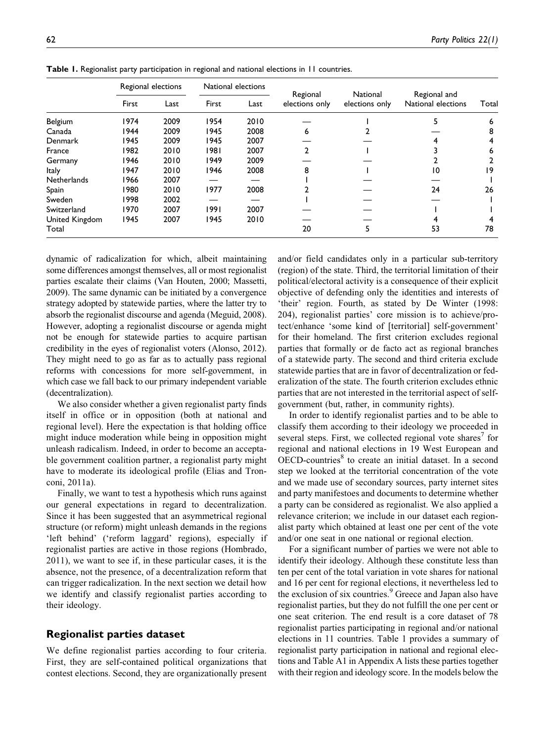|                    | Regional elections |      |       | National elections |                            |                                   |                                    |       |
|--------------------|--------------------|------|-------|--------------------|----------------------------|-----------------------------------|------------------------------------|-------|
|                    | First              | Last | First | Last               | Regional<br>elections only | <b>National</b><br>elections only | Regional and<br>National elections | Total |
| Belgium            | 1974               | 2009 | 1954  | 2010               |                            |                                   |                                    | 6     |
| Canada             | 1944               | 2009 | 1945  | 2008               | 6                          |                                   |                                    | 8     |
| Denmark            | 1945               | 2009 | 1945  | 2007               |                            |                                   |                                    | 4     |
| France             | 1982               | 2010 | 1981  | 2007               |                            |                                   |                                    | 6     |
| Germany            | 1946               | 2010 | 1949  | 2009               |                            |                                   |                                    |       |
| <b>Italy</b>       | 1947               | 2010 | 1946  | 2008               | 8                          |                                   | 10                                 | ۱9    |
| <b>Netherlands</b> | 1966               | 2007 |       |                    |                            |                                   |                                    |       |
| Spain              | 1980               | 2010 | 1977  | 2008               |                            |                                   | 24                                 | 26    |
| Sweden             | 1998               | 2002 |       |                    |                            |                                   |                                    |       |
| Switzerland        | 1970               | 2007 | 1991  | 2007               |                            |                                   |                                    |       |
| United Kingdom     | 1945               | 2007 | 1945  | 2010               |                            |                                   |                                    | 4     |
| Total              |                    |      |       |                    | 20                         |                                   | 53                                 | 78    |

Table 1. Regionalist party participation in regional and national elections in 11 countries.

dynamic of radicalization for which, albeit maintaining some differences amongst themselves, all or most regionalist parties escalate their claims (Van Houten, 2000; Massetti, 2009). The same dynamic can be initiated by a convergence strategy adopted by statewide parties, where the latter try to absorb the regionalist discourse and agenda (Meguid, 2008). However, adopting a regionalist discourse or agenda might not be enough for statewide parties to acquire partisan credibility in the eyes of regionalist voters (Alonso, 2012). They might need to go as far as to actually pass regional reforms with concessions for more self-government, in which case we fall back to our primary independent variable (decentralization).

We also consider whether a given regionalist party finds itself in office or in opposition (both at national and regional level). Here the expectation is that holding office might induce moderation while being in opposition might unleash radicalism. Indeed, in order to become an acceptable government coalition partner, a regionalist party might have to moderate its ideological profile (Elias and Tronconi, 2011a).

Finally, we want to test a hypothesis which runs against our general expectations in regard to decentralization. Since it has been suggested that an asymmetrical regional structure (or reform) might unleash demands in the regions 'left behind' ('reform laggard' regions), especially if regionalist parties are active in those regions (Hombrado, 2011), we want to see if, in these particular cases, it is the absence, not the presence, of a decentralization reform that can trigger radicalization. In the next section we detail how we identify and classify regionalist parties according to their ideology.

## Regionalist parties dataset

We define regionalist parties according to four criteria. First, they are self-contained political organizations that contest elections. Second, they are organizationally present

and/or field candidates only in a particular sub-territory (region) of the state. Third, the territorial limitation of their political/electoral activity is a consequence of their explicit objective of defending only the identities and interests of 'their' region. Fourth, as stated by De Winter (1998: 204), regionalist parties' core mission is to achieve/protect/enhance 'some kind of [territorial] self-government' for their homeland. The first criterion excludes regional parties that formally or de facto act as regional branches of a statewide party. The second and third criteria exclude statewide parties that are in favor of decentralization or federalization of the state. The fourth criterion excludes ethnic parties that are not interested in the territorial aspect of selfgovernment (but, rather, in community rights).

In order to identify regionalist parties and to be able to classify them according to their ideology we proceeded in several steps. First, we collected regional vote shares<sup>7</sup> for regional and national elections in 19 West European and OECD-countries<sup>8</sup> to create an initial dataset. In a second step we looked at the territorial concentration of the vote and we made use of secondary sources, party internet sites and party manifestoes and documents to determine whether a party can be considered as regionalist. We also applied a relevance criterion; we include in our dataset each regionalist party which obtained at least one per cent of the vote and/or one seat in one national or regional election.

For a significant number of parties we were not able to identify their ideology. Although these constitute less than ten per cent of the total variation in vote shares for national and 16 per cent for regional elections, it nevertheless led to the exclusion of six countries.<sup>9</sup> Greece and Japan also have regionalist parties, but they do not fulfill the one per cent or one seat criterion. The end result is a core dataset of 78 regionalist parties participating in regional and/or national elections in 11 countries. Table 1 provides a summary of regionalist party participation in national and regional elections and Table A1 in Appendix A lists these parties together with their region and ideology score. In the models below the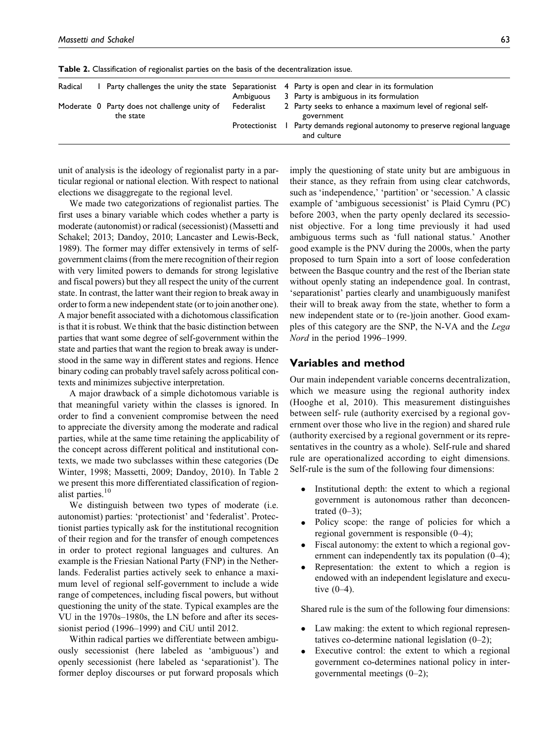| Radical |                                                           |               | Party challenges the unity the state Separationist 4 Party is open and clear in its formulation<br>Ambiguous 3 Party is ambiguous in its formulation |
|---------|-----------------------------------------------------------|---------------|------------------------------------------------------------------------------------------------------------------------------------------------------|
|         | Moderate 0 Party does not challenge unity of<br>the state | Federalist    | 2 Party seeks to enhance a maximum level of regional self-<br>government                                                                             |
|         |                                                           | Protectionist | Party demands regional autonomy to preserve regional language<br>and culture                                                                         |

Table 2. Classification of regionalist parties on the basis of the decentralization issue.

unit of analysis is the ideology of regionalist party in a particular regional or national election. With respect to national elections we disaggregate to the regional level.

We made two categorizations of regionalist parties. The first uses a binary variable which codes whether a party is moderate (autonomist) or radical (secessionist) (Massetti and Schakel; 2013; Dandoy, 2010; Lancaster and Lewis-Beck, 1989). The former may differ extensively in terms of selfgovernment claims (from the mere recognition of their region with very limited powers to demands for strong legislative and fiscal powers) but they all respect the unity of the current state. In contrast, the latter want their region to break away in order to form a new independent state (or to join another one). A major benefit associated with a dichotomous classification is that it is robust. We think that the basic distinction between parties that want some degree of self-government within the state and parties that want the region to break away is understood in the same way in different states and regions. Hence binary coding can probably travel safely across political contexts and minimizes subjective interpretation.

A major drawback of a simple dichotomous variable is that meaningful variety within the classes is ignored. In order to find a convenient compromise between the need to appreciate the diversity among the moderate and radical parties, while at the same time retaining the applicability of the concept across different political and institutional contexts, we made two subclasses within these categories (De Winter, 1998; Massetti, 2009; Dandoy, 2010). In Table 2 we present this more differentiated classification of regionalist parties.<sup>10</sup>

We distinguish between two types of moderate (i.e. autonomist) parties: 'protectionist' and 'federalist'. Protectionist parties typically ask for the institutional recognition of their region and for the transfer of enough competences in order to protect regional languages and cultures. An example is the Friesian National Party (FNP) in the Netherlands. Federalist parties actively seek to enhance a maximum level of regional self-government to include a wide range of competences, including fiscal powers, but without questioning the unity of the state. Typical examples are the VU in the 1970s–1980s, the LN before and after its secessionist period (1996–1999) and CiU until 2012.

Within radical parties we differentiate between ambiguously secessionist (here labeled as 'ambiguous') and openly secessionist (here labeled as 'separationist'). The former deploy discourses or put forward proposals which imply the questioning of state unity but are ambiguous in their stance, as they refrain from using clear catchwords, such as 'independence,' 'partition' or 'secession.' A classic example of 'ambiguous secessionist' is Plaid Cymru (PC) before 2003, when the party openly declared its secessionist objective. For a long time previously it had used ambiguous terms such as 'full national status.' Another good example is the PNV during the 2000s, when the party proposed to turn Spain into a sort of loose confederation between the Basque country and the rest of the Iberian state without openly stating an independence goal. In contrast, 'separationist' parties clearly and unambiguously manifest their will to break away from the state, whether to form a new independent state or to (re-)join another. Good examples of this category are the SNP, the N-VA and the Lega Nord in the period 1996–1999.

## Variables and method

Our main independent variable concerns decentralization, which we measure using the regional authority index (Hooghe et al, 2010). This measurement distinguishes between self- rule (authority exercised by a regional government over those who live in the region) and shared rule (authority exercised by a regional government or its representatives in the country as a whole). Self-rule and shared rule are operationalized according to eight dimensions. Self-rule is the sum of the following four dimensions:

- $\bullet$  Institutional depth: the extent to which a regional government is autonomous rather than deconcentrated  $(0-3)$ ;
- $\bullet$  Policy scope: the range of policies for which a regional government is responsible (0–4);
- $\bullet$  Fiscal autonomy: the extent to which a regional government can independently tax its population (0–4);
- $\bullet$  Representation: the extent to which a region is endowed with an independent legislature and executive (0–4).

Shared rule is the sum of the following four dimensions:

- $\bullet$  Law making: the extent to which regional representatives co-determine national legislation (0–2);
- $\bullet$  Executive control: the extent to which a regional government co-determines national policy in intergovernmental meetings (0–2);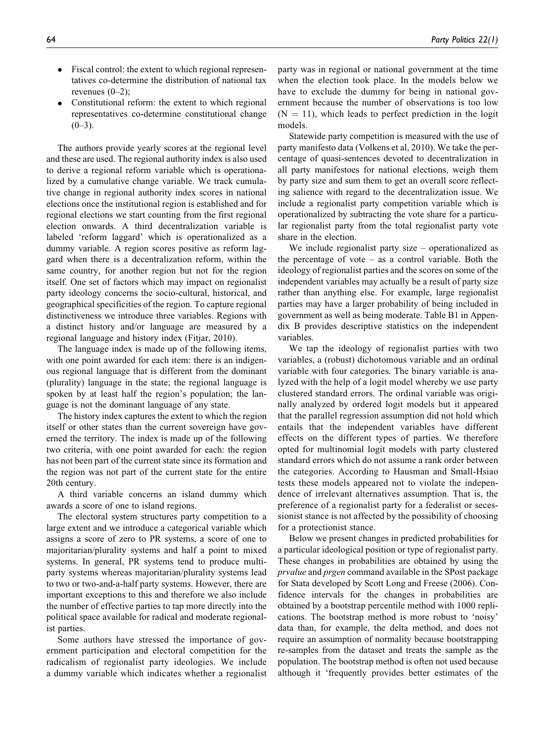- $\bullet$  Fiscal control: the extent to which regional representatives co-determine the distribution of national tax revenues (0–2);
- $\bullet$  Constitutional reform: the extent to which regional representatives co-determine constitutional change  $(0-3)$ .

The authors provide yearly scores at the regional level and these are used. The regional authority index is also used to derive a regional reform variable which is operationalized by a cumulative change variable. We track cumulative change in regional authority index scores in national elections once the institutional region is established and for regional elections we start counting from the first regional election onwards. A third decentralization variable is labeled 'reform laggard' which is operationalized as a dummy variable. A region scores positive as reform laggard when there is a decentralization reform, within the same country, for another region but not for the region itself. One set of factors which may impact on regionalist party ideology concerns the socio-cultural, historical, and geographical specificities of the region. To capture regional distinctiveness we introduce three variables. Regions with a distinct history and/or language are measured by a regional language and history index (Fitjar, 2010).

The language index is made up of the following items, with one point awarded for each item: there is an indigenous regional language that is different from the dominant (plurality) language in the state; the regional language is spoken by at least half the region's population; the language is not the dominant language of any state.

The history index captures the extent to which the region itself or other states than the current sovereign have governed the territory. The index is made up of the following two criteria, with one point awarded for each: the region has not been part of the current state since its formation and the region was not part of the current state for the entire 20th century.

A third variable concerns an island dummy which awards a score of one to island regions.

The electoral system structures party competition to a large extent and we introduce a categorical variable which assigns a score of zero to PR systems, a score of one to majoritarian/plurality systems and half a point to mixed systems. In general, PR systems tend to produce multiparty systems whereas majoritarian/plurality systems lead to two or two-and-a-half party systems. However, there are important exceptions to this and therefore we also include the number of effective parties to tap more directly into the political space available for radical and moderate regionalist parties.

Some authors have stressed the importance of government participation and electoral competition for the radicalism of regionalist party ideologies. We include a dummy variable which indicates whether a regionalist party was in regional or national government at the time when the election took place. In the models below we have to exclude the dummy for being in national government because the number of observations is too low  $(N = 11)$ , which leads to perfect prediction in the logit models.

Statewide party competition is measured with the use of party manifesto data (Volkens et al, 2010). We take the percentage of quasi-sentences devoted to decentralization in all party manifestoes for national elections, weigh them by party size and sum them to get an overall score reflecting salience with regard to the decentralization issue. We include a regionalist party competition variable which is operationalized by subtracting the vote share for a particular regionalist party from the total regionalist party vote share in the election.

We include regionalist party size – operationalized as the percentage of vote  $-$  as a control variable. Both the ideology of regionalist parties and the scores on some of the independent variables may actually be a result of party size rather than anything else. For example, large regionalist parties may have a larger probability of being included in government as well as being moderate. Table B1 in Appendix B provides descriptive statistics on the independent variables.

We tap the ideology of regionalist parties with two variables, a (robust) dichotomous variable and an ordinal variable with four categories. The binary variable is analyzed with the help of a logit model whereby we use party clustered standard errors. The ordinal variable was originally analyzed by ordered logit models but it appeared that the parallel regression assumption did not hold which entails that the independent variables have different effects on the different types of parties. We therefore opted for multinomial logit models with party clustered standard errors which do not assume a rank order between the categories. According to Hausman and Small-Hsiao tests these models appeared not to violate the independence of irrelevant alternatives assumption. That is, the preference of a regionalist party for a federalist or secessionist stance is not affected by the possibility of choosing for a protectionist stance.

Below we present changes in predicted probabilities for a particular ideological position or type of regionalist party. These changes in probabilities are obtained by using the prvalue and prgen command available in the SPost package for Stata developed by Scott Long and Freese (2006). Confidence intervals for the changes in probabilities are obtained by a bootstrap percentile method with 1000 replications. The bootstrap method is more robust to 'noisy' data than, for example, the delta method, and does not require an assumption of normality because bootstrapping re-samples from the dataset and treats the sample as the population. The bootstrap method is often not used because although it 'frequently provides better estimates of the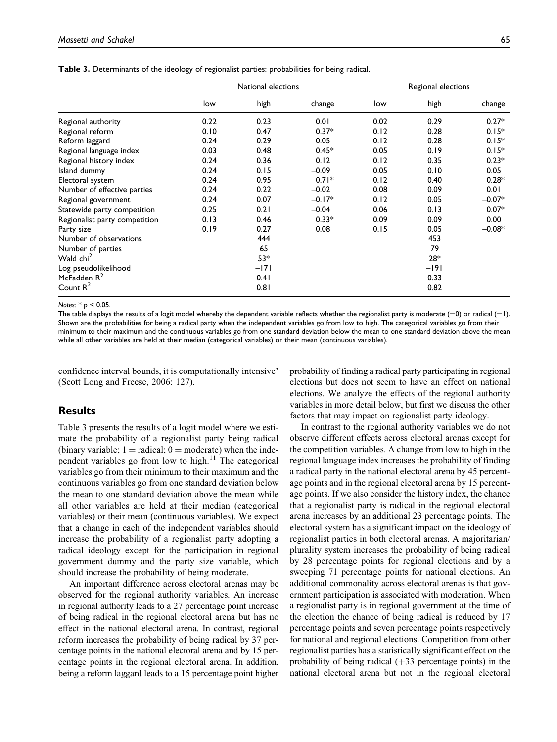|  | <b>Table 3.</b> Determinants of the ideology of regionalist parties: probabilities for being radical. |  |  |  |  |  |  |  |  |
|--|-------------------------------------------------------------------------------------------------------|--|--|--|--|--|--|--|--|
|--|-------------------------------------------------------------------------------------------------------|--|--|--|--|--|--|--|--|

|                               |      | National elections |          | Regional elections |        |          |
|-------------------------------|------|--------------------|----------|--------------------|--------|----------|
|                               | low  | high               | change   | low                | high   | change   |
| Regional authority            | 0.22 | 0.23               | 0.01     | 0.02               | 0.29   | $0.27*$  |
| Regional reform               | 0.10 | 0.47               | $0.37*$  | 0.12               | 0.28   | $0.15*$  |
| Reform laggard                | 0.24 | 0.29               | 0.05     | 0.12               | 0.28   | $0.15*$  |
| Regional language index       | 0.03 | 0.48               | $0.45*$  | 0.05               | 0.19   | $0.15*$  |
| Regional history index        | 0.24 | 0.36               | 0.12     | 0.12               | 0.35   | $0.23*$  |
| Island dummy                  | 0.24 | 0.15               | $-0.09$  | 0.05               | 0.10   | 0.05     |
| Electoral system              | 0.24 | 0.95               | $0.71*$  | 0.12               | 0.40   | $0.28*$  |
| Number of effective parties   | 0.24 | 0.22               | $-0.02$  | 0.08               | 0.09   | 0.01     |
| Regional government           | 0.24 | 0.07               | $-0.17*$ | 0.12               | 0.05   | $-0.07*$ |
| Statewide party competition   | 0.25 | 0.21               | $-0.04$  | 0.06               | 0.13   | $0.07*$  |
| Regionalist party competition | 0.13 | 0.46               | $0.33*$  | 0.09               | 0.09   | 0.00     |
| Party size                    | 0.19 | 0.27               | 0.08     | 0.15               | 0.05   | $-0.08*$ |
| Number of observations        |      | 444                |          |                    | 453    |          |
| Number of parties             |      | 65                 |          |                    | 79     |          |
| Wald chi <sup>2</sup>         |      | $53*$              |          |                    | $28*$  |          |
| Log pseudolikelihood          |      | $-171$             |          |                    | $-191$ |          |
| McFadden $R^2$                |      | 0.41               |          |                    | 0.33   |          |
| Count $R^2$                   |      | 0.81               |          |                    | 0.82   |          |

Notes:  $*$  p < 0.05.

The table displays the results of a logit model whereby the dependent variable reflects whether the regionalist party is moderate  $(=0)$  or radical  $(=1)$ . Shown are the probabilities for being a radical party when the independent variables go from low to high. The categorical variables go from their minimum to their maximum and the continuous variables go from one standard deviation below the mean to one standard deviation above the mean while all other variables are held at their median (categorical variables) or their mean (continuous variables).

confidence interval bounds, it is computationally intensive' (Scott Long and Freese, 2006: 127).

## **Results**

Table 3 presents the results of a logit model where we estimate the probability of a regionalist party being radical (binary variable;  $1 =$  radical;  $0 =$  moderate) when the independent variables go from low to high. $11$  The categorical variables go from their minimum to their maximum and the continuous variables go from one standard deviation below the mean to one standard deviation above the mean while all other variables are held at their median (categorical variables) or their mean (continuous variables). We expect that a change in each of the independent variables should increase the probability of a regionalist party adopting a radical ideology except for the participation in regional government dummy and the party size variable, which should increase the probability of being moderate.

An important difference across electoral arenas may be observed for the regional authority variables. An increase in regional authority leads to a 27 percentage point increase of being radical in the regional electoral arena but has no effect in the national electoral arena. In contrast, regional reform increases the probability of being radical by 37 percentage points in the national electoral arena and by 15 percentage points in the regional electoral arena. In addition, being a reform laggard leads to a 15 percentage point higher

probability of finding a radical party participating in regional elections but does not seem to have an effect on national elections. We analyze the effects of the regional authority variables in more detail below, but first we discuss the other factors that may impact on regionalist party ideology.

In contrast to the regional authority variables we do not observe different effects across electoral arenas except for the competition variables. A change from low to high in the regional language index increases the probability of finding a radical party in the national electoral arena by 45 percentage points and in the regional electoral arena by 15 percentage points. If we also consider the history index, the chance that a regionalist party is radical in the regional electoral arena increases by an additional 23 percentage points. The electoral system has a significant impact on the ideology of regionalist parties in both electoral arenas. A majoritarian/ plurality system increases the probability of being radical by 28 percentage points for regional elections and by a sweeping 71 percentage points for national elections. An additional commonality across electoral arenas is that government participation is associated with moderation. When a regionalist party is in regional government at the time of the election the chance of being radical is reduced by 17 percentage points and seven percentage points respectively for national and regional elections. Competition from other regionalist parties has a statistically significant effect on the probability of being radical  $(+33)$  percentage points) in the national electoral arena but not in the regional electoral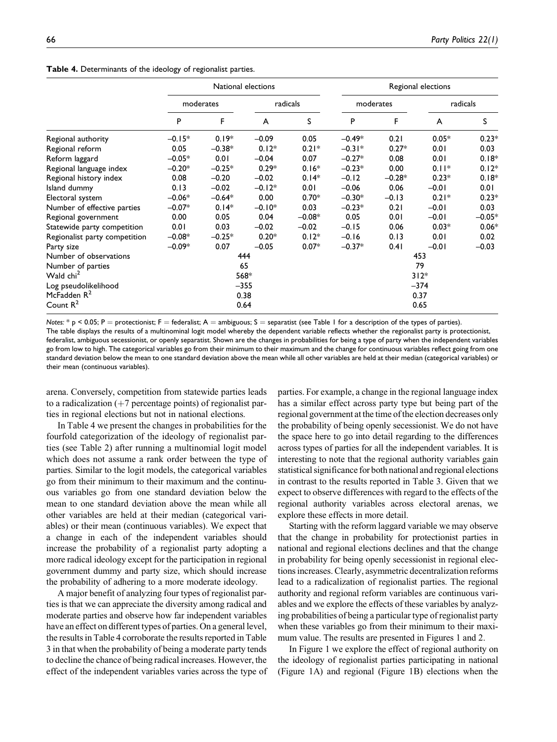|                               |           |          | National elections | Regional elections |           |          |          |          |  |
|-------------------------------|-----------|----------|--------------------|--------------------|-----------|----------|----------|----------|--|
|                               | moderates |          | radicals           |                    | moderates |          | radicals |          |  |
|                               | P         | F        | A                  | S                  | P         | F        | A        | S        |  |
| Regional authority            | $-0.15*$  | $0.19*$  | $-0.09$            | 0.05               | $-0.49*$  | 0.21     | $0.05*$  | $0.23*$  |  |
| Regional reform               | 0.05      | $-0.38*$ | $0.12*$            | $0.21*$            | $-0.31*$  | $0.27*$  | 0.01     | 0.03     |  |
| Reform laggard                | $-0.05*$  | 0.01     | $-0.04$            | 0.07               | $-0.27*$  | 0.08     | 0.01     | $0.18*$  |  |
| Regional language index       | $-0.20*$  | $-0.25*$ | $0.29*$            | $0.16*$            | $-0.23*$  | 0.00     | $0.11*$  | $0.12*$  |  |
| Regional history index        | 0.08      | $-0.20$  | $-0.02$            | $0.14*$            | $-0.12$   | $-0.28*$ | $0.23*$  | $0.18*$  |  |
| Island dummy                  | 0.13      | $-0.02$  | $-0.12*$           | 0.01               | $-0.06$   | 0.06     | $-0.01$  | 0.01     |  |
| Electoral system              | $-0.06*$  | $-0.64*$ | 0.00               | $0.70*$            | $-0.30*$  | $-0.13$  | $0.21*$  | $0.23*$  |  |
| Number of effective parties   | $-0.07*$  | $0.14*$  | $-0.10*$           | 0.03               | $-0.23*$  | 0.21     | $-0.01$  | 0.03     |  |
| Regional government           | 0.00      | 0.05     | 0.04               | $-0.08*$           | 0.05      | 0.01     | $-0.01$  | $-0.05*$ |  |
| Statewide party competition   | 0.01      | 0.03     | $-0.02$            | $-0.02$            | $-0.15$   | 0.06     | $0.03*$  | $0.06*$  |  |
| Regionalist party competition | $-0.08*$  | $-0.25*$ | $0.20*$            | $0.12*$            | $-0.16$   | 0.13     | 0.01     | 0.02     |  |
| Party size                    | $-0.09*$  | 0.07     | $-0.05$            | $0.07*$            | $-0.37*$  | 0.41     | $-0.01$  | $-0.03$  |  |
| Number of observations        |           |          | 444                |                    |           |          | 453      |          |  |
| Number of parties             |           |          | 65                 |                    |           |          | 79       |          |  |
| Wald chi <sup>2</sup>         |           |          | 568*               |                    |           | $312*$   |          |          |  |
| Log pseudolikelihood          |           |          | $-355$             |                    |           |          | $-374$   |          |  |
| McFadden R <sup>2</sup>       |           |          | 0.38               |                    | 0.37      |          |          |          |  |
| Count $R^2$                   |           |          | 0.64               |                    | 0.65      |          |          |          |  |

Notes:  $*$  p < 0.05; P = protectionist; F = federalist; A = ambiguous; S = separatist (see Table 1 for a description of the types of parties). The table displays the results of a multinominal logit model whereby the dependent variable reflects whether the regionalist party is protectionist, federalist, ambiguous secessionist, or openly separatist. Shown are the changes in probabilities for being a type of party when the independent variables go from low to high. The categorical variables go from their minimum to their maximum and the change for continuous variables reflect going from one standard deviation below the mean to one standard deviation above the mean while all other variables are held at their median (categorical variables) or their mean (continuous variables).

arena. Conversely, competition from statewide parties leads to a radicalization  $(+7$  percentage points) of regionalist parties in regional elections but not in national elections.

In Table 4 we present the changes in probabilities for the fourfold categorization of the ideology of regionalist parties (see Table 2) after running a multinomial logit model which does not assume a rank order between the type of parties. Similar to the logit models, the categorical variables go from their minimum to their maximum and the continuous variables go from one standard deviation below the mean to one standard deviation above the mean while all other variables are held at their median (categorical variables) or their mean (continuous variables). We expect that a change in each of the independent variables should increase the probability of a regionalist party adopting a more radical ideology except for the participation in regional government dummy and party size, which should increase the probability of adhering to a more moderate ideology.

A major benefit of analyzing four types of regionalist parties is that we can appreciate the diversity among radical and moderate parties and observe how far independent variables have an effect on different types of parties. On a general level, the results in Table 4 corroborate the results reported in Table 3 in that when the probability of being a moderate party tends to decline the chance of being radical increases. However, the effect of the independent variables varies across the type of parties. For example, a change in the regional language index has a similar effect across party type but being part of the regional government at the time of the election decreases only the probability of being openly secessionist. We do not have the space here to go into detail regarding to the differences across types of parties for all the independent variables. It is interesting to note that the regional authority variables gain statistical significance for both national and regional elections in contrast to the results reported in Table 3. Given that we expect to observe differences with regard to the effects of the regional authority variables across electoral arenas, we explore these effects in more detail.

Starting with the reform laggard variable we may observe that the change in probability for protectionist parties in national and regional elections declines and that the change in probability for being openly secessionist in regional elections increases. Clearly, asymmetric decentralization reforms lead to a radicalization of regionalist parties. The regional authority and regional reform variables are continuous variables and we explore the effects of these variables by analyzing probabilities of being a particular type of regionalist party when these variables go from their minimum to their maximum value. The results are presented in Figures 1 and 2.

In Figure 1 we explore the effect of regional authority on the ideology of regionalist parties participating in national (Figure 1A) and regional (Figure 1B) elections when the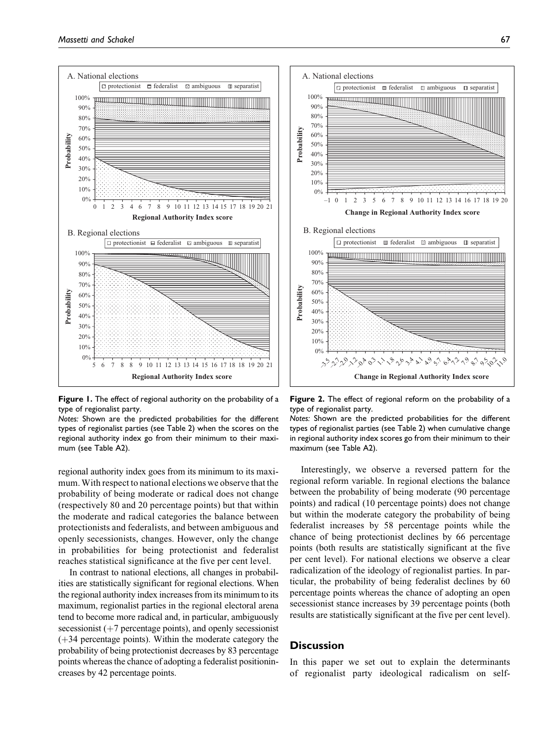

Figure 1. The effect of regional authority on the probability of a type of regionalist party.

Notes: Shown are the predicted probabilities for the different types of regionalist parties (see Table 2) when the scores on the regional authority index go from their minimum to their maximum (see Table A2).

regional authority index goes from its minimum to its maximum.With respect to national elections we observe that the probability of being moderate or radical does not change (respectively 80 and 20 percentage points) but that within the moderate and radical categories the balance between protectionists and federalists, and between ambiguous and openly secessionists, changes. However, only the change in probabilities for being protectionist and federalist reaches statistical significance at the five per cent level.

In contrast to national elections, all changes in probabilities are statistically significant for regional elections. When the regional authority index increases from its minimum to its maximum, regionalist parties in the regional electoral arena tend to become more radical and, in particular, ambiguously secessionist  $(+7$  percentage points), and openly secessionist  $(+34$  percentage points). Within the moderate category the probability of being protectionist decreases by 83 percentage points whereas the chance of adopting a federalist positionincreases by 42 percentage points.



Figure 2. The effect of regional reform on the probability of a type of regionalist party.

Notes: Shown are the predicted probabilities for the different types of regionalist parties (see Table 2) when cumulative change in regional authority index scores go from their minimum to their maximum (see Table A2).

Interestingly, we observe a reversed pattern for the regional reform variable. In regional elections the balance between the probability of being moderate (90 percentage points) and radical (10 percentage points) does not change but within the moderate category the probability of being federalist increases by 58 percentage points while the chance of being protectionist declines by 66 percentage points (both results are statistically significant at the five per cent level). For national elections we observe a clear radicalization of the ideology of regionalist parties. In particular, the probability of being federalist declines by 60 percentage points whereas the chance of adopting an open secessionist stance increases by 39 percentage points (both results are statistically significant at the five per cent level).

## **Discussion**

In this paper we set out to explain the determinants of regionalist party ideological radicalism on self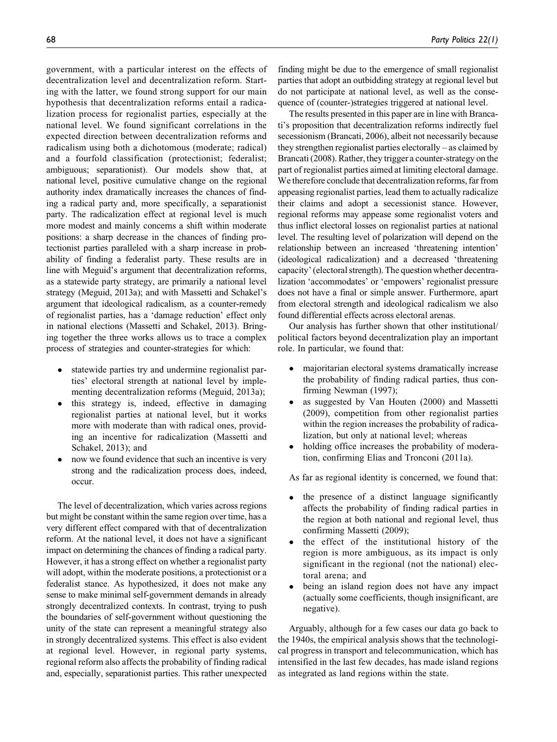government, with a particular interest on the effects of decentralization level and decentralization reform. Starting with the latter, we found strong support for our main hypothesis that decentralization reforms entail a radicalization process for regionalist parties, especially at the national level. We found significant correlations in the expected direction between decentralization reforms and radicalism using both a dichotomous (moderate; radical) and a fourfold classification (protectionist; federalist; ambiguous; separationist). Our models show that, at national level, positive cumulative change on the regional authority index dramatically increases the chances of finding a radical party and, more specifically, a separationist party. The radicalization effect at regional level is much more modest and mainly concerns a shift within moderate positions: a sharp decrease in the chances of finding protectionist parties paralleled with a sharp increase in probability of finding a federalist party. These results are in line with Meguid's argument that decentralization reforms, as a statewide party strategy, are primarily a national level strategy (Meguid, 2013a); and with Massetti and Schakel's argument that ideological radicalism, as a counter-remedy of regionalist parties, has a 'damage reduction' effect only in national elections (Massetti and Schakel, 2013). Bringing together the three works allows us to trace a complex process of strategies and counter-strategies for which:

- $\bullet$  statewide parties try and undermine regionalist parties' electoral strength at national level by implementing decentralization reforms (Meguid, 2013a);
- $\bullet$  this strategy is, indeed, effective in damaging regionalist parties at national level, but it works more with moderate than with radical ones, providing an incentive for radicalization (Massetti and Schakel, 2013); and
- $\bullet$  now we found evidence that such an incentive is very strong and the radicalization process does, indeed, occur.

The level of decentralization, which varies across regions but might be constant within the same region over time, has a very different effect compared with that of decentralization reform. At the national level, it does not have a significant impact on determining the chances of finding a radical party. However, it has a strong effect on whether a regionalist party will adopt, within the moderate positions, a protectionist or a federalist stance. As hypothesized, it does not make any sense to make minimal self-government demands in already strongly decentralized contexts. In contrast, trying to push the boundaries of self-government without questioning the unity of the state can represent a meaningful strategy also in strongly decentralized systems. This effect is also evident at regional level. However, in regional party systems, regional reform also affects the probability of finding radical and, especially, separationist parties. This rather unexpected quence of (counter-)strategies triggered at national level. The results presented in this paper are in line with Brancati's proposition that decentralization reforms indirectly fuel secessionism (Brancati, 2006), albeit not necessarily because they strengthen regionalist parties electorally – as claimed by Brancati (2008). Rather, they trigger a counter-strategy on the part of regionalist parties aimed at limiting electoral damage. We therefore conclude that decentralization reforms, far from appeasing regionalist parties, lead them to actually radicalize their claims and adopt a secessionist stance. However, regional reforms may appease some regionalist voters and thus inflict electoral losses on regionalist parties at national level. The resulting level of polarization will depend on the relationship between an increased 'threatening intention' (ideological radicalization) and a decreased 'threatening capacity' (electoral strength). The question whether decentralization 'accommodates' or 'empowers' regionalist pressure does not have a final or simple answer. Furthermore, apart from electoral strength and ideological radicalism we also found differential effects across electoral arenas.

Our analysis has further shown that other institutional/ political factors beyond decentralization play an important role. In particular, we found that:

- $\bullet$  majoritarian electoral systems dramatically increase the probability of finding radical parties, thus confirming Newman (1997);
- $\bullet$  as suggested by Van Houten (2000) and Massetti (2009), competition from other regionalist parties within the region increases the probability of radicalization, but only at national level; whereas
- $\bullet$  holding office increases the probability of moderation, confirming Elias and Tronconi (2011a).

As far as regional identity is concerned, we found that:

- $\bullet$  the presence of a distinct language significantly affects the probability of finding radical parties in the region at both national and regional level, thus confirming Massetti (2009);
- $\bullet$  the effect of the institutional history of the region is more ambiguous, as its impact is only significant in the regional (not the national) electoral arena; and
- $\bullet$  being an island region does not have any impact (actually some coefficients, though insignificant, are negative).

Arguably, although for a few cases our data go back to the 1940s, the empirical analysis shows that the technological progress in transport and telecommunication, which has intensified in the last few decades, has made island regions as integrated as land regions within the state.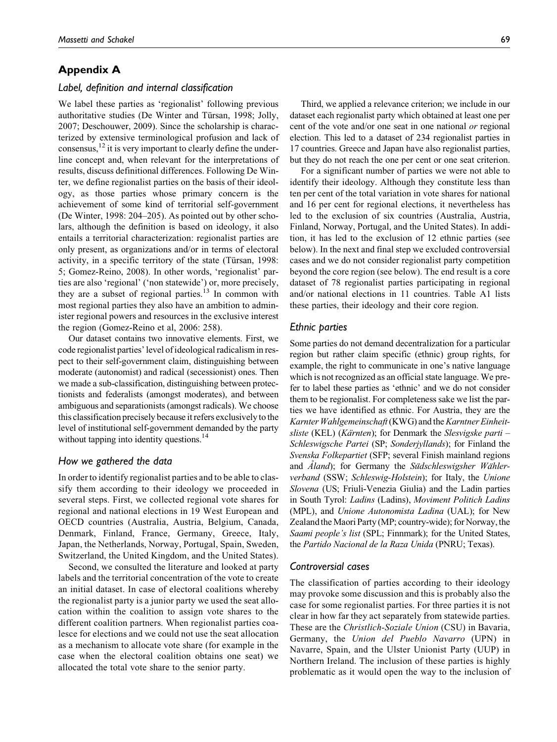## Appendix A

## Label, definition and internal classification

We label these parties as 'regionalist' following previous authoritative studies (De Winter and Türsan, 1998; Jolly, 2007; Deschouwer, 2009). Since the scholarship is characterized by extensive terminological profusion and lack of consensus,  $^{12}$  it is very important to clearly define the underline concept and, when relevant for the interpretations of results, discuss definitional differences. Following De Winter, we define regionalist parties on the basis of their ideology, as those parties whose primary concern is the achievement of some kind of territorial self-government (De Winter, 1998: 204–205). As pointed out by other scholars, although the definition is based on ideology, it also entails a territorial characterization: regionalist parties are only present, as organizations and/or in terms of electoral activity, in a specific territory of the state (Türsan, 1998: 5; Gomez-Reino, 2008). In other words, 'regionalist' parties are also 'regional' ('non statewide') or, more precisely, they are a subset of regional parties.<sup>13</sup> In common with most regional parties they also have an ambition to administer regional powers and resources in the exclusive interest the region (Gomez-Reino et al, 2006: 258).

Our dataset contains two innovative elements. First, we code regionalist parties' level of ideological radicalism in respect to their self-government claim, distinguishing between moderate (autonomist) and radical (secessionist) ones. Then we made a sub-classification, distinguishing between protectionists and federalists (amongst moderates), and between ambiguous and separationists (amongst radicals). We choose this classification precisely because it refers exclusivelyto the level of institutional self-government demanded by the party without tapping into identity questions.<sup>14</sup>

## How we gathered the data

In order to identify regionalist parties and to be able to classify them according to their ideology we proceeded in several steps. First, we collected regional vote shares for regional and national elections in 19 West European and OECD countries (Australia, Austria, Belgium, Canada, Denmark, Finland, France, Germany, Greece, Italy, Japan, the Netherlands, Norway, Portugal, Spain, Sweden, Switzerland, the United Kingdom, and the United States).

Second, we consulted the literature and looked at party labels and the territorial concentration of the vote to create an initial dataset. In case of electoral coalitions whereby the regionalist party is a junior party we used the seat allocation within the coalition to assign vote shares to the different coalition partners. When regionalist parties coalesce for elections and we could not use the seat allocation as a mechanism to allocate vote share (for example in the case when the electoral coalition obtains one seat) we allocated the total vote share to the senior party.

Third, we applied a relevance criterion; we include in our dataset each regionalist party which obtained at least one per cent of the vote and/or one seat in one national or regional election. This led to a dataset of 234 regionalist parties in 17 countries. Greece and Japan have also regionalist parties, but they do not reach the one per cent or one seat criterion.

For a significant number of parties we were not able to identify their ideology. Although they constitute less than ten per cent of the total variation in vote shares for national and 16 per cent for regional elections, it nevertheless has led to the exclusion of six countries (Australia, Austria, Finland, Norway, Portugal, and the United States). In addition, it has led to the exclusion of 12 ethnic parties (see below). In the next and final step we excluded controversial cases and we do not consider regionalist party competition beyond the core region (see below). The end result is a core dataset of 78 regionalist parties participating in regional and/or national elections in 11 countries. Table A1 lists these parties, their ideology and their core region.

#### Ethnic parties

Some parties do not demand decentralization for a particular region but rather claim specific (ethnic) group rights, for example, the right to communicate in one's native language which is not recognized as an official state language. We prefer to label these parties as 'ethnic' and we do not consider them to be regionalist. For completeness sake we list the parties we have identified as ethnic. For Austria, they are the Karnter Wahlgemeinschaft (KWG) and the Karntner Einheitsliste (KEL) (Kärnten); for Denmark the Slesvigske parti – Schleswigsche Partei (SP; Sonderjyllands); for Finland the Svenska Folkepartiet (SFP; several Finish mainland regions and  $\AA$ land); for Germany the Südschleswigsher Wählerverband (SSW; Schleswig-Holstein); for Italy, the Unione Slovena (US; Friuli-Venezia Giulia) and the Ladin parties in South Tyrol: Ladins (Ladins), Moviment Politich Ladins (MPL), and Unione Autonomista Ladina (UAL); for New Zealand the Maori Party (MP; country-wide); for Norway, the Saami people's list (SPL; Finnmark); for the United States, the Partido Nacional de la Raza Unida (PNRU; Texas).

## Controversial cases

The classification of parties according to their ideology may provoke some discussion and this is probably also the case for some regionalist parties. For three parties it is not clear in how far they act separately from statewide parties. These are the Christlich-Soziale Union (CSU) in Bavaria, Germany, the Union del Pueblo Navarro (UPN) in Navarre, Spain, and the Ulster Unionist Party (UUP) in Northern Ireland. The inclusion of these parties is highly problematic as it would open the way to the inclusion of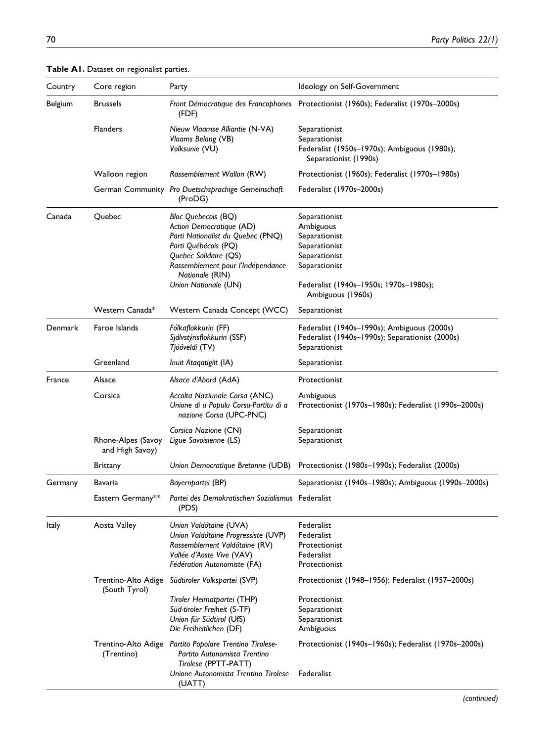| Country   | Core region<br>Party                                                                                                             |                                                                                                                                                                                                                       | Ideology on Self-Government                                                                                                                                   |  |  |  |
|-----------|----------------------------------------------------------------------------------------------------------------------------------|-----------------------------------------------------------------------------------------------------------------------------------------------------------------------------------------------------------------------|---------------------------------------------------------------------------------------------------------------------------------------------------------------|--|--|--|
| Belgium   | <b>Brussels</b>                                                                                                                  | (FDF)                                                                                                                                                                                                                 | Front Démocratique des Francophones Protectionist (1960s); Federalist (1970s-2000s)                                                                           |  |  |  |
|           | <b>Flanders</b>                                                                                                                  | Nieuw Vlaamse Alliantie (N-VA)<br>Vlaams Belang (VB)<br>Volksunie (VU)                                                                                                                                                | Separationist<br>Separationist<br>Federalist (1950s-1970s); Ambiguous (1980s);<br>Separationist (1990s)                                                       |  |  |  |
|           | Walloon region                                                                                                                   | Rassemblement Wallon (RW)                                                                                                                                                                                             | Protectionist (1960s); Federalist (1970s-1980s)                                                                                                               |  |  |  |
|           |                                                                                                                                  | German Community Pro Duetschsprachige Gemeinschaft<br>(ProDG)                                                                                                                                                         | Federalist (1970s-2000s)                                                                                                                                      |  |  |  |
| Canada    | Quebec                                                                                                                           | Bloc Quebecois (BQ)<br>Action Democratique (AD)<br>Parti Nationalist du Quebec (PNQ)<br>Parti Québécois (PQ)<br>Quebec Solidaire (QS)<br>Rassemblement pour l'Indépendance<br>Nationale (RIN)<br>Union Nationale (UN) | Separationist<br>Ambiguous<br>Separationist<br>Separationist<br>Separationist<br>Separationist<br>Federalist (1940s-1950s; 1970s-1980s);<br>Ambiguous (1960s) |  |  |  |
|           | Western Canada*                                                                                                                  | Western Canada Concept (WCC)                                                                                                                                                                                          | Separationist                                                                                                                                                 |  |  |  |
| Denmark   | Faroe Islands                                                                                                                    | Fólkaflokkurin (FF)<br>Sjálvstýrisflokkurin (SSF)<br>Tjóôveldi (TV)                                                                                                                                                   | Federalist (1940s-1990s); Ambiguous (2000s)<br>Federalist (1940s-1990s); Separationist (2000s)<br>Separationist                                               |  |  |  |
| Greenland |                                                                                                                                  | Inuit Ataqatigiit (IA)                                                                                                                                                                                                | Separationist                                                                                                                                                 |  |  |  |
| France    | Alsace                                                                                                                           | Alsace d'Abord (AdA)                                                                                                                                                                                                  | Protectionist                                                                                                                                                 |  |  |  |
|           | Corsica                                                                                                                          | Accolta Naziunale Corsa (ANC)<br>Unione di u Populu Corsu-Partitu di a<br>nazione Corsa (UPC-PNC)                                                                                                                     | Ambiguous<br>Protectionist (1970s-1980s); Federalist (1990s-2000s)                                                                                            |  |  |  |
|           | Rhone-Alpes (Savoy<br>and High Savoy)                                                                                            | Corsica Nazione (CN)<br>Ligue Savoisienne (LS)                                                                                                                                                                        | Separationist<br>Separationist                                                                                                                                |  |  |  |
|           | Brittany                                                                                                                         | Union Democratique Bretonne (UDB)                                                                                                                                                                                     | Protectionist (1980s-1990s); Federalist (2000s)                                                                                                               |  |  |  |
| Germany   | Bavaria                                                                                                                          | Bayernpartei (BP)                                                                                                                                                                                                     | Separationist (1940s–1980s); Ambiguous (1990s–2000s)                                                                                                          |  |  |  |
|           | Eastern Germany**                                                                                                                | Partei des Demokratischen Sozialismus Federalist<br>(PDS)                                                                                                                                                             |                                                                                                                                                               |  |  |  |
| Italy     | Aosta Valley                                                                                                                     | Union Valdótaine (UVA)<br>Union Valdótaine Progressiste (UVP)<br>Rassemblement Valdôtaine (RV)<br>Vallée d'Aoste Vive (VAV)<br>Fédération Autonomiste (FA)                                                            | Federalist<br>Federalist<br>Protectionist<br>Federalist<br>Protectionist                                                                                      |  |  |  |
|           | Trentino-Alto Adige<br>(South Tyrol)                                                                                             | Südtiroler Volkspartei (SVP)                                                                                                                                                                                          | Protectionist (1948–1956); Federalist (1957–2000s)                                                                                                            |  |  |  |
|           |                                                                                                                                  | Tiroler Heimatpartei (THP)<br>Süd-tiroler Freiheit (S-TF)<br>Union für Südtirol (UfS)<br>Die Freiheitlichen (DF)                                                                                                      | Protectionist<br>Separationist<br>Separationist<br>Ambiguous                                                                                                  |  |  |  |
|           | Partito Popolare Trentino Tirolese-<br>Trentino-Alto Adige<br>Partito Autonomista Trentino<br>(Trentino)<br>Tirolese (PPTT-PATT) |                                                                                                                                                                                                                       | Protectionist (1940s–1960s); Federalist (1970s–2000s)                                                                                                         |  |  |  |
|           |                                                                                                                                  | Unione Autonomista Trentino Tirolese<br>(UATT)                                                                                                                                                                        | Federalist                                                                                                                                                    |  |  |  |

## Table A1. Dataset on regionalist parties.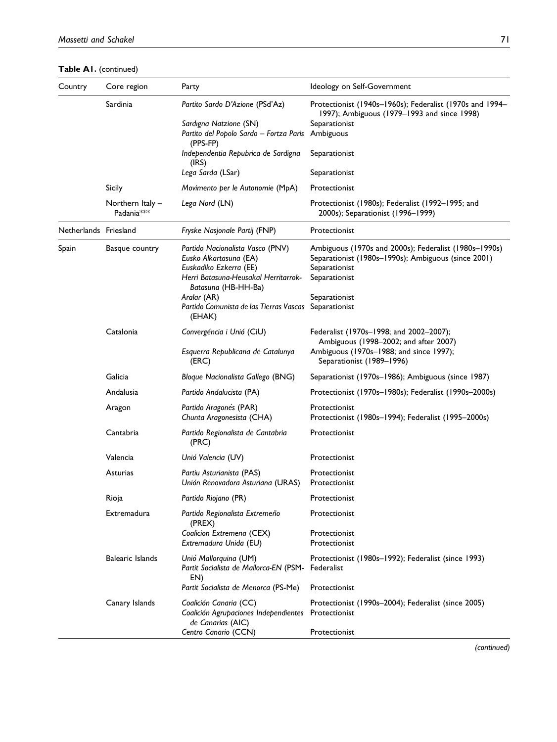Table A1. (continued)

| Country               | Core region                                                                          | Party                                                                                                                                                                                                                   | Ideology on Self-Government                                                                                                                                                      |  |  |  |
|-----------------------|--------------------------------------------------------------------------------------|-------------------------------------------------------------------------------------------------------------------------------------------------------------------------------------------------------------------------|----------------------------------------------------------------------------------------------------------------------------------------------------------------------------------|--|--|--|
|                       | Sardinia                                                                             | Partito Sardo D'Azione (PSd'Az)                                                                                                                                                                                         | Protectionist (1940s-1960s); Federalist (1970s and 1994-<br>1997); Ambiguous (1979–1993 and since 1998)                                                                          |  |  |  |
|                       |                                                                                      | Sardigna Natzione (SN)<br>Partito del Popolo Sardo - Fortza Paris<br>(PPS-FP)                                                                                                                                           | Separationist<br>Ambiguous                                                                                                                                                       |  |  |  |
|                       |                                                                                      | Independentia Repubrica de Sardigna<br>(IRS)                                                                                                                                                                            | Separationist                                                                                                                                                                    |  |  |  |
|                       |                                                                                      | Lega Sarda (LSar)                                                                                                                                                                                                       | Separationist                                                                                                                                                                    |  |  |  |
|                       | Sicily                                                                               | Movimento per le Autonomie (MpA)                                                                                                                                                                                        | Protectionist                                                                                                                                                                    |  |  |  |
|                       | Northern Italy -<br>Padania <sup>***</sup>                                           | Lega Nord (LN)                                                                                                                                                                                                          | Protectionist (1980s); Federalist (1992–1995; and<br>2000s); Separationist (1996-1999)                                                                                           |  |  |  |
| Netherlands Friesland |                                                                                      | Fryske Nasjonale Partij (FNP)                                                                                                                                                                                           | Protectionist                                                                                                                                                                    |  |  |  |
| Spain                 | Basque country                                                                       | Partido Nacionalista Vasco (PNV)<br>Eusko Alkartasuna (EA)<br>Euskadiko Ezkerra (EE)<br>Herri Batasuna-Heusakal Herritarrok-<br>Batasuna (HB-HH-Ba)<br>Aralar (AR)<br>Partido Comunista de las Tierras Vascas<br>(EHAK) | Ambiguous (1970s and 2000s); Federalist (1980s-1990s)<br>Separationist (1980s-1990s); Ambiguous (since 2001)<br>Separationist<br>Separationist<br>Separationist<br>Separationist |  |  |  |
|                       | Catalonia<br>Convergéncia i Unió (CiU)<br>Esquerra Republicana de Catalunya<br>(ERC) |                                                                                                                                                                                                                         | Federalist (1970s-1998; and 2002-2007);<br>Ambiguous (1998–2002; and after 2007)<br>Ambiguous (1970s-1988; and since 1997);<br>Separationist (1989–1996)                         |  |  |  |
|                       | Galicia                                                                              | Bloque Nacionalista Gallego (BNG)                                                                                                                                                                                       | Separationist (1970s–1986); Ambiguous (since 1987)                                                                                                                               |  |  |  |
|                       | Andalusia                                                                            | Partido Andalucista (PA)                                                                                                                                                                                                | Protectionist (1970s-1980s); Federalist (1990s-2000s)                                                                                                                            |  |  |  |
|                       | Aragon                                                                               | Partido Aragonés (PAR)<br>Chunta Aragonesista (CHA)                                                                                                                                                                     | Protectionist<br>Protectionist (1980s–1994); Federalist (1995–2000s)                                                                                                             |  |  |  |
|                       | Cantabria                                                                            | Partido Regionalista de Cantabria<br>(PRC)                                                                                                                                                                              | Protectionist                                                                                                                                                                    |  |  |  |
|                       | Valencia                                                                             | Unió Valencia (UV)                                                                                                                                                                                                      | Protectionist                                                                                                                                                                    |  |  |  |
|                       | Asturias                                                                             | Partiu Asturianista (PAS)<br>Unión Renovadora Asturiana (URAS)                                                                                                                                                          | Protectionist<br>Protectionist                                                                                                                                                   |  |  |  |
|                       | Rioja                                                                                | Partido Riojano (PR)                                                                                                                                                                                                    | Protectionist                                                                                                                                                                    |  |  |  |
|                       | Extremadura                                                                          | Partido Regionalista Extremeño<br>(PREX)                                                                                                                                                                                | Protectionist                                                                                                                                                                    |  |  |  |
|                       |                                                                                      | Coalicion Extremena (CEX)<br>Extremadura Unida (EU)                                                                                                                                                                     | Protectionist<br>Protectionist                                                                                                                                                   |  |  |  |
|                       | <b>Balearic Islands</b>                                                              | Unió Mallorquina (UM)<br>Partit Socialista de Mallorca-EN (PSM-<br>EN)                                                                                                                                                  | Protectionist (1980s-1992); Federalist (since 1993)<br>Federalist                                                                                                                |  |  |  |
|                       |                                                                                      | Partit Socialista de Menorca (PS-Me)                                                                                                                                                                                    | Protectionist                                                                                                                                                                    |  |  |  |
|                       | Canary Islands                                                                       | Coalición Canaria (CC)<br>Coalición Agrupaciones Independientes<br>de Canarias (AIC)                                                                                                                                    | Protectionist (1990s-2004); Federalist (since 2005)<br>Protectionist                                                                                                             |  |  |  |
|                       |                                                                                      | Centro Canario (CCN)                                                                                                                                                                                                    | Protectionist                                                                                                                                                                    |  |  |  |

(continued)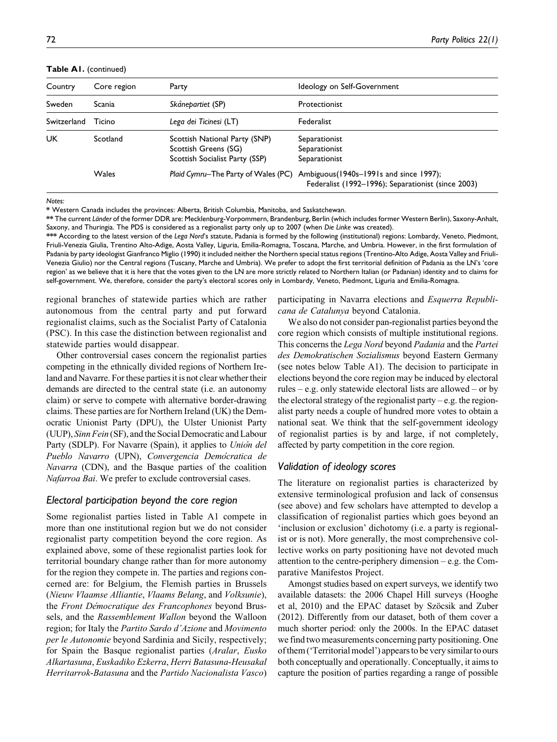Table A1. (continued)

| Country     | Core region | Party                                                                                   | Ideology on Self-Government                                                                   |
|-------------|-------------|-----------------------------------------------------------------------------------------|-----------------------------------------------------------------------------------------------|
| Sweden      | Scania      | Skånepartiet (SP)                                                                       | Protectionist                                                                                 |
| Switzerland | Ticino      | Lega dei Ticinesi (LT)                                                                  | Federalist                                                                                    |
| UK          | Scotland    | Scottish National Party (SNP)<br>Scottish Greens (SG)<br>Scottish Socialist Party (SSP) | Separationist<br>Separationist<br>Separationist                                               |
|             | Wales       | Plaid Cymru-The Party of Wales (PC)                                                     | Ambiguous (1940s-1991s and since 1997);<br>Federalist (1992-1996); Separationist (since 2003) |

Notes:

\* Western Canada includes the provinces: Alberta, British Columbia, Manitoba, and Saskatchewan.

\*\* The current Länder of the former DDR are: Mecklenburg-Vorpommern, Brandenburg, Berlin (which includes former Western Berlin), Saxony-Anhalt, Saxony, and Thuringia. The PDS is considered as a regionalist party only up to 2007 (when Die Linke was created).

\*\*\* According to the latest version of the Lega Nord's statute, Padania is formed by the following (institutional) regions: Lombardy, Veneto, Piedmont, Friuli-Venezia Giulia, Trentino Alto-Adige, Aosta Valley, Liguria, Emilia-Romagna, Toscana, Marche, and Umbria. However, in the first formulation of Padania by party ideologist Gianfranco Miglio (1990) it included neither the Northern special status regions (Trentino-Alto Adige, Aosta Valley and Friuli-Venezia Giulio) nor the Central regions (Tuscany, Marche and Umbria). We prefer to adopt the first territorial definition of Padania as the LN's 'core region' as we believe that it is here that the votes given to the LN are more strictly related to Northern Italian (or Padanian) identity and to claims for self-government. We, therefore, consider the party's electoral scores only in Lombardy, Veneto, Piedmont, Liguria and Emilia-Romagna.

regional branches of statewide parties which are rather autonomous from the central party and put forward regionalist claims, such as the Socialist Party of Catalonia (PSC). In this case the distinction between regionalist and statewide parties would disappear.

Other controversial cases concern the regionalist parties competing in the ethnically divided regions of Northern Ireland and Navarre. For these parties it is not clear whether their demands are directed to the central state (i.e. an autonomy claim) or serve to compete with alternative border-drawing claims. These parties are for Northern Ireland (UK) the Democratic Unionist Party (DPU), the Ulster Unionist Party (UUP), Sinn Fein (SF), and the Social Democratic and Labour Party (SDLP). For Navarre (Spain), it applies to Union del Pueblo Navarro (UPN), Convergencia Democratica de Navarra (CDN), and the Basque parties of the coalition Nafarroa Bai. We prefer to exclude controversial cases.

## Electoral participation beyond the core region

Some regionalist parties listed in Table A1 compete in more than one institutional region but we do not consider regionalist party competition beyond the core region. As explained above, some of these regionalist parties look for territorial boundary change rather than for more autonomy for the region they compete in. The parties and regions concerned are: for Belgium, the Flemish parties in Brussels (Nieuw Vlaamse Alliantie, Vlaams Belang, and Volksunie), the Front Démocratique des Francophones beyond Brussels, and the Rassemblement Wallon beyond the Walloon region; for Italy the Partito Sardo d'Azione and Movimento per le Autonomie beyond Sardinia and Sicily, respectively; for Spain the Basque regionalist parties (Aralar, Eusko Alkartasuna, Euskadiko Ezkerra, Herri Batasuna-Heusakal Herritarrok-Batasuna and the Partido Nacionalista Vasco) participating in Navarra elections and Esquerra Republicana de Catalunya beyond Catalonia.

We also do not consider pan-regionalist parties beyond the core region which consists of multiple institutional regions. This concerns the Lega Nord beyond Padania and the Partei des Demokratischen Sozialismus beyond Eastern Germany (see notes below Table A1). The decision to participate in elections beyond the core region may be induced by electoral rules – e.g. only statewide electoral lists are allowed – or by the electoral strategy of the regionalist party – e.g. the regionalist party needs a couple of hundred more votes to obtain a national seat. We think that the self-government ideology of regionalist parties is by and large, if not completely, affected by party competition in the core region.

#### Validation of ideology scores

The literature on regionalist parties is characterized by extensive terminological profusion and lack of consensus (see above) and few scholars have attempted to develop a classification of regionalist parties which goes beyond an 'inclusion or exclusion' dichotomy (i.e. a party is regionalist or is not). More generally, the most comprehensive collective works on party positioning have not devoted much attention to the centre-periphery dimension – e.g. the Comparative Manifestos Project.

Amongst studies based on expert surveys, we identify two available datasets: the 2006 Chapel Hill surveys (Hooghe et al, 2010) and the EPAC dataset by Szöcsik and Zuber (2012). Differently from our dataset, both of them cover a much shorter period: only the 2000s. In the EPAC dataset we find two measurements concerning party positioning. One ofthem ('Territorial model') appears to be very similarto ours both conceptually and operationally. Conceptually, it aims to capture the position of parties regarding a range of possible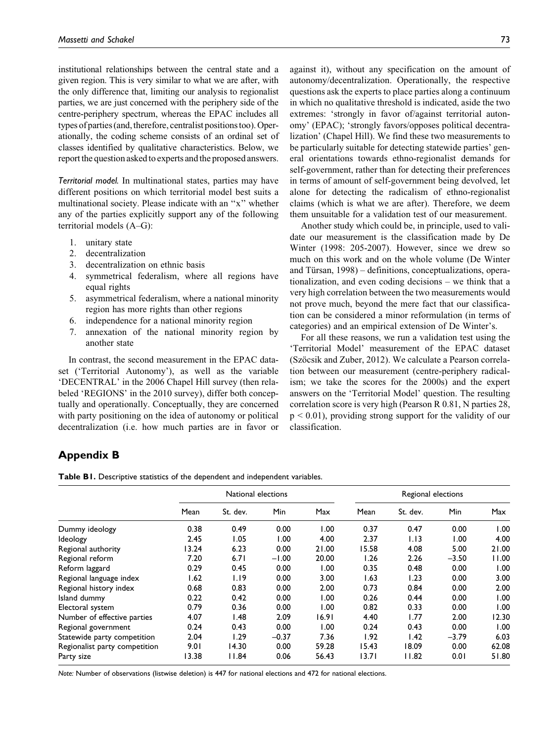institutional relationships between the central state and a given region. This is very similar to what we are after, with the only difference that, limiting our analysis to regionalist parties, we are just concerned with the periphery side of the centre-periphery spectrum, whereas the EPAC includes all types of parties (and, therefore, centralist positions too). Operationally, the coding scheme consists of an ordinal set of classes identified by qualitative characteristics. Below, we report the question asked to experts and the proposed answers.

Territorial model. In multinational states, parties may have different positions on which territorial model best suits a multinational society. Please indicate with an ''x'' whether any of the parties explicitly support any of the following territorial models (A–G):

- 1. unitary state
- 2. decentralization
- 3. decentralization on ethnic basis
- 4. symmetrical federalism, where all regions have equal rights
- 5. asymmetrical federalism, where a national minority region has more rights than other regions
- 6. independence for a national minority region
- 7. annexation of the national minority region by another state

In contrast, the second measurement in the EPAC dataset ('Territorial Autonomy'), as well as the variable 'DECENTRAL' in the 2006 Chapel Hill survey (then relabeled 'REGIONS' in the 2010 survey), differ both conceptually and operationally. Conceptually, they are concerned with party positioning on the idea of autonomy or political decentralization (i.e. how much parties are in favor or against it), without any specification on the amount of autonomy/decentralization. Operationally, the respective questions ask the experts to place parties along a continuum in which no qualitative threshold is indicated, aside the two extremes: 'strongly in favor of/against territorial autonomy' (EPAC); 'strongly favors/opposes political decentralization' (Chapel Hill). We find these two measurements to be particularly suitable for detecting statewide parties' general orientations towards ethno-regionalist demands for self-government, rather than for detecting their preferences in terms of amount of self-government being devolved, let alone for detecting the radicalism of ethno-regionalist claims (which is what we are after). Therefore, we deem them unsuitable for a validation test of our measurement.

Another study which could be, in principle, used to validate our measurement is the classification made by De Winter (1998: 205-2007). However, since we drew so much on this work and on the whole volume (De Winter and Türsan,  $1998$ ) – definitions, conceptualizations, operationalization, and even coding decisions – we think that a very high correlation between the two measurements would not prove much, beyond the mere fact that our classification can be considered a minor reformulation (in terms of categories) and an empirical extension of De Winter's.

For all these reasons, we run a validation test using the 'Territorial Model' measurement of the EPAC dataset (Szöcsik and Zuber, 2012). We calculate a Pearson correlation between our measurement (centre-periphery radicalism; we take the scores for the 2000s) and the expert answers on the 'Territorial Model' question. The resulting correlation score is very high (Pearson R 0.81, N parties 28,  $p < 0.01$ ), providing strong support for the validity of our classification.

## Appendix B

Table B1. Descriptive statistics of the dependent and independent variables.

|                               | National elections |          |         |       | Regional elections |          |            |       |
|-------------------------------|--------------------|----------|---------|-------|--------------------|----------|------------|-------|
|                               | Mean               | St. dev. | Min     | Max   | Mean               | St. dev. | <b>Min</b> | Max   |
| Dummy ideology                | 0.38               | 0.49     | 0.00    | 1.00  | 0.37               | 0.47     | 0.00       | 1.00  |
| Ideology                      | 2.45               | 1.05     | 1.00    | 4.00  | 2.37               | 1.13     | 0.00       | 4.00  |
| Regional authority            | 13.24              | 6.23     | 0.00    | 21.00 | 15.58              | 4.08     | 5.00       | 21.00 |
| Regional reform               | 7.20               | 6.71     | $-1.00$ | 20.00 | l.26               | 2.26     | $-3.50$    | 11.00 |
| Reform laggard                | 0.29               | 0.45     | 0.00    | 1.00  | 0.35               | 0.48     | 0.00       | 00. ا |
| Regional language index       | 1.62               | 1.19     | 0.00    | 3.00  | 1.63               | 1.23     | 0.00       | 3.00  |
| Regional history index        | 0.68               | 0.83     | 0.00    | 2.00  | 0.73               | 0.84     | 0.00       | 2.00  |
| Island dummy                  | 0.22               | 0.42     | 0.00    | 1.00  | 0.26               | 0.44     | 0.00       | 1.00  |
| Electoral system              | 0.79               | 0.36     | 0.00    | 1.00  | 0.82               | 0.33     | 0.00       | 00. ا |
| Number of effective parties   | 4.07               | I.48     | 2.09    | 16.91 | 4.40               | 1.77     | 2.00       | 12.30 |
| Regional government           | 0.24               | 0.43     | 0.00    | 1.00  | 0.24               | 0.43     | 0.00       | 1.00  |
| Statewide party competition   | 2.04               | 1.29     | $-0.37$ | 7.36  | 1.92               | 1.42     | $-3.79$    | 6.03  |
| Regionalist party competition | 9.01               | 14.30    | 0.00    | 59.28 | 15.43              | 18.09    | 0.00       | 62.08 |
| Party size                    | 13.38              | 11.84    | 0.06    | 56.43 | 13.71              | 11.82    | 0.01       | 51.80 |

Note: Number of observations (listwise deletion) is 447 for national elections and 472 for national elections.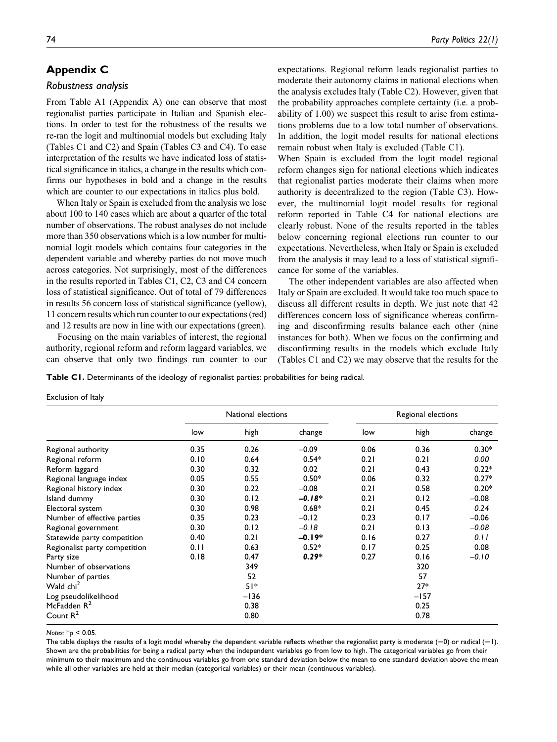## Appendix C

#### Robustness analysis

From Table A1 (Appendix A) one can observe that most regionalist parties participate in Italian and Spanish elections. In order to test for the robustness of the results we re-ran the logit and multinomial models but excluding Italy (Tables C1 and C2) and Spain (Tables C3 and C4). To ease interpretation of the results we have indicated loss of statistical significance in italics, a change in the results which confirms our hypotheses in bold and a change in the results which are counter to our expectations in italics plus bold.

When Italy or Spain is excluded from the analysis we lose about 100 to 140 cases which are about a quarter of the total number of observations. The robust analyses do not include more than 350 observations which is a low number for multinomial logit models which contains four categories in the dependent variable and whereby parties do not move much across categories. Not surprisingly, most of the differences in the results reported in Tables C1, C2, C3 and C4 concern loss of statistical significance. Out of total of 79 differences in results 56 concern loss of statistical significance (yellow), 11 concern results which run counter to our expectations (red) and 12 results are now in line with our expectations (green).

Focusing on the main variables of interest, the regional authority, regional reform and reform laggard variables, we can observe that only two findings run counter to our expectations. Regional reform leads regionalist parties to moderate their autonomy claims in national elections when the analysis excludes Italy (Table C2). However, given that the probability approaches complete certainty (i.e. a probability of 1.00) we suspect this result to arise from estimations problems due to a low total number of observations. In addition, the logit model results for national elections remain robust when Italy is excluded (Table C1).

When Spain is excluded from the logit model regional reform changes sign for national elections which indicates that regionalist parties moderate their claims when more authority is decentralized to the region (Table C3). However, the multinomial logit model results for regional reform reported in Table C4 for national elections are clearly robust. None of the results reported in the tables below concerning regional elections run counter to our expectations. Nevertheless, when Italy or Spain is excluded from the analysis it may lead to a loss of statistical significance for some of the variables.

The other independent variables are also affected when Italy or Spain are excluded. It would take too much space to discuss all different results in depth. We just note that 42 differences concern loss of significance whereas confirming and disconfirming results balance each other (nine instances for both). When we focus on the confirming and disconfirming results in the models which exclude Italy (Tables C1 and C2) we may observe that the results for the

Table C1. Determinants of the ideology of regionalist parties: probabilities for being radical.

| Exclusion of Italy |  |  |
|--------------------|--|--|
|                    |  |  |

|                               |      | National elections |          | Regional elections |        |         |
|-------------------------------|------|--------------------|----------|--------------------|--------|---------|
|                               | low  | high               | change   | low                | high   | change  |
| Regional authority            | 0.35 | 0.26               | $-0.09$  | 0.06               | 0.36   | $0.30*$ |
| Regional reform               | 0.10 | 0.64               | $0.54*$  | 0.21               | 0.21   | 0.00    |
| Reform laggard                | 0.30 | 0.32               | 0.02     | 0.21               | 0.43   | $0.22*$ |
| Regional language index       | 0.05 | 0.55               | $0.50*$  | 0.06               | 0.32   | $0.27*$ |
| Regional history index        | 0.30 | 0.22               | $-0.08$  | 0.21               | 0.58   | $0.20*$ |
| Island dummy                  | 0.30 | 0.12               | $-0.18*$ | 0.21               | 0.12   | $-0.08$ |
| Electoral system              | 0.30 | 0.98               | $0.68*$  | 0.21               | 0.45   | 0.24    |
| Number of effective parties   | 0.35 | 0.23               | $-0.12$  | 0.23               | 0.17   | $-0.06$ |
| Regional government           | 0.30 | 0.12               | $-0.18$  | 0.21               | 0.13   | $-0.08$ |
| Statewide party competition   | 0.40 | 0.21               | $-0.19*$ | 0.16               | 0.27   | 0.11    |
| Regionalist party competition | 0.11 | 0.63               | $0.52*$  | 0.17               | 0.25   | 0.08    |
| Party size                    | 0.18 | 0.47               | $0.29*$  | 0.27               | 0.16   | $-0.10$ |
| Number of observations        |      | 349                |          |                    | 320    |         |
| Number of parties             |      | 52                 |          |                    | 57     |         |
| Wald chi <sup>2</sup>         |      | $51*$              |          |                    | $27*$  |         |
| Log pseudolikelihood          |      | $-136$             |          |                    | $-157$ |         |
| McFadden R <sup>2</sup>       |      | 0.38               |          |                    | 0.25   |         |
| Count $R^2$                   |      | 0.80               |          |                    | 0.78   |         |

Notes:  $*_{p}$  < 0.05.

The table displays the results of a logit model whereby the dependent variable reflects whether the regionalist party is moderate  $(=0)$  or radical  $(=1)$ . Shown are the probabilities for being a radical party when the independent variables go from low to high. The categorical variables go from their minimum to their maximum and the continuous variables go from one standard deviation below the mean to one standard deviation above the mean while all other variables are held at their median (categorical variables) or their mean (continuous variables).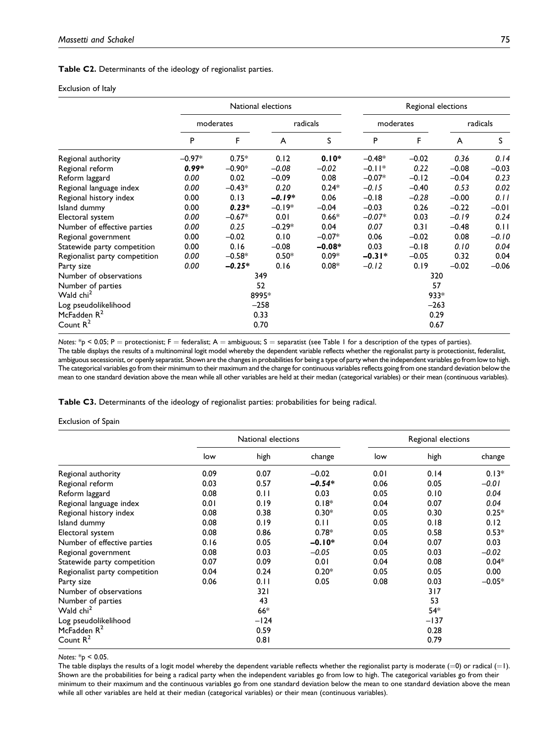Table C2. Determinants of the ideology of regionalist parties.

#### Exclusion of Italy

|                               | National elections |          |          |          | Regional elections |         |          |         |  |
|-------------------------------|--------------------|----------|----------|----------|--------------------|---------|----------|---------|--|
|                               | moderates          |          | radicals |          | moderates          |         | radicals |         |  |
|                               | P                  | F        | A        | S        | P                  | F       | A        | S       |  |
| Regional authority            | $-0.97*$           | $0.75*$  | 0.12     | $0.10*$  | $-0.48*$           | $-0.02$ | 0.36     | 0.14    |  |
| Regional reform               | $0.99*$            | $-0.90*$ | $-0.08$  | $-0.02$  | $-0.11*$           | 0.22    | $-0.08$  | $-0.03$ |  |
| Reform laggard                | 0.00               | 0.02     | $-0.09$  | 0.08     | $-0.07*$           | $-0.12$ | $-0.04$  | 0.23    |  |
| Regional language index       | 0.00               | $-0.43*$ | 0.20     | $0.24*$  | $-0.15$            | $-0.40$ | 0.53     | 0.02    |  |
| Regional history index        | 0.00               | 0.13     | $-0.19*$ | 0.06     | $-0.18$            | $-0.28$ | $-0.00$  | 0.11    |  |
| Island dummy                  | 0.00               | $0.23*$  | $-0.19*$ | $-0.04$  | $-0.03$            | 0.26    | $-0.22$  | $-0.01$ |  |
| Electoral system              | 0.00               | $-0.67*$ | 0.01     | $0.66*$  | $-0.07*$           | 0.03    | $-0.19$  | 0.24    |  |
| Number of effective parties   | 0.00               | 0.25     | $-0.29*$ | 0.04     | 0.07               | 0.31    | $-0.48$  | 0.11    |  |
| Regional government           | 0.00               | $-0.02$  | 0.10     | $-0.07*$ | 0.06               | $-0.02$ | 0.08     | $-0.10$ |  |
| Statewide party competition   | 0.00               | 0.16     | $-0.08$  | $-0.08*$ | 0.03               | $-0.18$ | 0.10     | 0.04    |  |
| Regionalist party competition | 0.00               | $-0.58*$ | $0.50*$  | $0.09*$  | $-0.31*$           | $-0.05$ | 0.32     | 0.04    |  |
| Party size                    | 0.00               | $-0.25*$ | 0.16     | $0.08*$  | $-0.12$            | 0.19    | $-0.02$  | $-0.06$ |  |
| Number of observations        | 349                |          |          |          | 320                |         |          |         |  |
| Number of parties             | 52                 |          |          |          | 57                 |         |          |         |  |
| Wald chi <sup>2</sup>         | 8995*              |          |          |          | $933*$             |         |          |         |  |
| Log pseudolikelihood          | $-258$             |          |          |          | $-263$             |         |          |         |  |
| McFadden $R^2$                | 0.33               |          |          |          | 0.29               |         |          |         |  |
| Count $R^2$                   | 0.70               |          |          |          | 0.67               |         |          |         |  |

Notes:  $*_P$  < 0.05; P = protectionist; F = federalist; A = ambiguous; S = separatist (see Table 1 for a description of the types of parties). The table displays the results of a multinominal logit model whereby the dependent variable reflects whether the regionalist party is protectionist, federalist, ambiguous secessionist, or openly separatist. Shown are the changes in probabilities for being a type of party when the independent variables go from low to high. The categorical variables go from their minimum to their maximum and the change for continuous variables reflects going from one standard deviation below the mean to one standard deviation above the mean while all other variables are held at their median (categorical variables) or their mean (continuous variables).

Table C3. Determinants of the ideology of regionalist parties: probabilities for being radical.

#### Exclusion of Spain

|                               |      | National elections |          |      | Regional elections |          |
|-------------------------------|------|--------------------|----------|------|--------------------|----------|
|                               | low  | high               | change   | low  | high               | change   |
| Regional authority            | 0.09 | 0.07               | $-0.02$  | 0.01 | 0.14               | $0.13*$  |
| Regional reform               | 0.03 | 0.57               | $-0.54*$ | 0.06 | 0.05               | $-0.01$  |
| Reform laggard                | 0.08 | 0.11               | 0.03     | 0.05 | 0.10               | 0.04     |
| Regional language index       | 0.01 | 0.19               | $0.18*$  | 0.04 | 0.07               | 0.04     |
| Regional history index        | 0.08 | 0.38               | $0.30*$  | 0.05 | 0.30               | $0.25*$  |
| Island dummy                  | 0.08 | 0.19               | 0.11     | 0.05 | 0.18               | 0.12     |
| Electoral system              | 0.08 | 0.86               | $0.78*$  | 0.05 | 0.58               | $0.53*$  |
| Number of effective parties   | 0.16 | 0.05               | $-0.10*$ | 0.04 | 0.07               | 0.03     |
| Regional government           | 0.08 | 0.03               | $-0.05$  | 0.05 | 0.03               | $-0.02$  |
| Statewide party competition   | 0.07 | 0.09               | 0.01     | 0.04 | 0.08               | $0.04*$  |
| Regionalist party competition | 0.04 | 0.24               | $0.20*$  | 0.05 | 0.05               | 0.00     |
| Party size                    | 0.06 | 0.11               | 0.05     | 0.08 | 0.03               | $-0.05*$ |
| Number of observations        |      | 321                |          |      | 317                |          |
| Number of parties             |      | 43                 |          |      | 53                 |          |
| Wald chi <sup>2</sup>         |      | $66*$              |          |      | $54*$              |          |
| Log pseudolikelihood          |      | $-124$             |          |      | $-137$             |          |
| McFadden $R^2$                |      | 0.59               |          |      | 0.28               |          |
| Count $R^2$                   |      | 0.81               |          |      | 0.79               |          |

Notes: \*p < 0.05.

The table displays the results of a logit model whereby the dependent variable reflects whether the regionalist party is moderate  $(=0)$  or radical  $(=1)$ . Shown are the probabilities for being a radical party when the independent variables go from low to high. The categorical variables go from their minimum to their maximum and the continuous variables go from one standard deviation below the mean to one standard deviation above the mean while all other variables are held at their median (categorical variables) or their mean (continuous variables).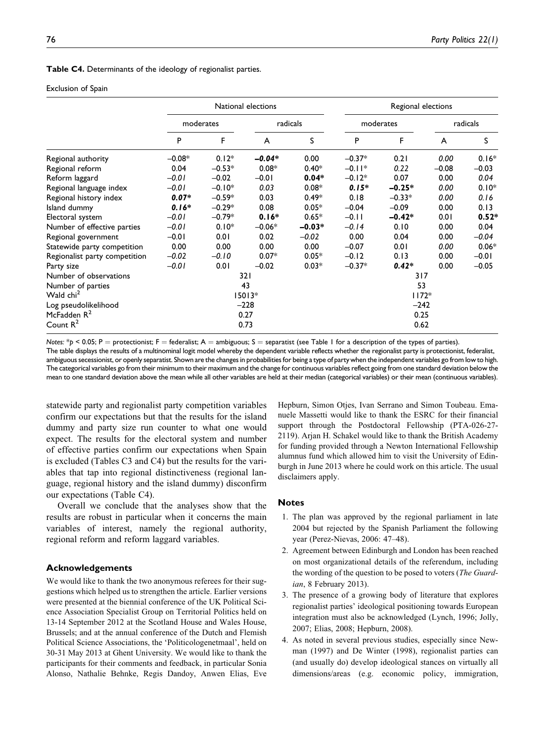Table C4. Determinants of the ideology of regionalist parties.

#### Exclusion of Spain

|                               | National elections |          |                |          | Regional elections |          |          |         |  |
|-------------------------------|--------------------|----------|----------------|----------|--------------------|----------|----------|---------|--|
|                               | moderates          |          | radicals       |          | moderates          |          | radicals |         |  |
|                               | P                  | F        | $\overline{A}$ | S        | P                  | F        | A        | S       |  |
| Regional authority            | $-0.08*$           | $0.12*$  | $-0.04*$       | 0.00     | $-0.37*$           | 0.21     | 0.00     | $0.16*$ |  |
| Regional reform               | 0.04               | $-0.53*$ | $0.08*$        | $0.40*$  | $-0.11*$           | 0.22     | $-0.08$  | $-0.03$ |  |
| Reform laggard                | $-0.01$            | $-0.02$  | $-0.01$        | $0.04*$  | $-0.12*$           | 0.07     | 0.00     | 0.04    |  |
| Regional language index       | $-0.01$            | $-0.10*$ | 0.03           | $0.08*$  | $0.15*$            | $-0.25*$ | 0.00     | $0.10*$ |  |
| Regional history index        | $0.07*$            | $-0.59*$ | 0.03           | $0.49*$  | 0.18               | $-0.33*$ | 0.00     | 0.16    |  |
| Island dummy                  | $0.16*$            | $-0.29*$ | 0.08           | $0.05*$  | $-0.04$            | $-0.09$  | 0.00     | 0.13    |  |
| Electoral system              | $-0.01$            | $-0.79*$ | $0.16*$        | $0.65*$  | $-0.11$            | $-0.42*$ | 0.01     | $0.52*$ |  |
| Number of effective parties   | $-0.01$            | $0.10*$  | $-0.06*$       | $-0.03*$ | $-0.14$            | 0.10     | 0.00     | 0.04    |  |
| Regional government           | $-0.01$            | 0.01     | 0.02           | $-0.02$  | 0.00               | 0.04     | 0.00     | $-0.04$ |  |
| Statewide party competition   | 0.00               | 0.00     | 0.00           | 0.00     | $-0.07$            | 0.01     | 0.00     | $0.06*$ |  |
| Regionalist party competition | $-0.02$            | $-0.10$  | $0.07*$        | $0.05*$  | $-0.12$            | 0.13     | 0.00     | $-0.01$ |  |
| Party size                    | $-0.01$            | 0.01     | $-0.02$        | $0.03*$  | $-0.37*$           | $0.42*$  | 0.00     | $-0.05$ |  |
| Number of observations        | 321                |          |                |          | 317                |          |          |         |  |
| Number of parties             | 43                 |          |                |          | 53                 |          |          |         |  |
| Wald chi <sup>2</sup>         | $15013*$           |          |                |          | $1172*$            |          |          |         |  |
| Log pseudolikelihood          | $-228$             |          |                |          | $-242$             |          |          |         |  |
| McFadden $R^2$                | 0.27               |          |                |          | 0.25               |          |          |         |  |
| Count $R^2$                   | 0.73               |          |                |          | 0.62               |          |          |         |  |

Notes:  $*p < 0.05$ ; P = protectionist; F = federalist; A = ambiguous; S = separatist (see Table 1 for a description of the types of parties).

The table displays the results of a multinominal logit model whereby the dependent variable reflects whether the regionalist party is protectionist, federalist, ambiguous secessionist, or openly separatist. Shown are the changes in probabilities for being a type of party when the independent variables go from low to high. The categorical variables go from their minimum to their maximum and the change for continuous variables reflect going from one standard deviation below the mean to one standard deviation above the mean while all other variables are held at their median (categorical variables) or their mean (continuous variables).

statewide party and regionalist party competition variables confirm our expectations but that the results for the island dummy and party size run counter to what one would expect. The results for the electoral system and number of effective parties confirm our expectations when Spain is excluded (Tables C3 and C4) but the results for the variables that tap into regional distinctiveness (regional language, regional history and the island dummy) disconfirm our expectations (Table C4).

Overall we conclude that the analyses show that the results are robust in particular when it concerns the main variables of interest, namely the regional authority, regional reform and reform laggard variables.

#### Acknowledgements

We would like to thank the two anonymous referees for their suggestions which helped us to strengthen the article. Earlier versions were presented at the biennial conference of the UK Political Science Association Specialist Group on Territorial Politics held on 13-14 September 2012 at the Scotland House and Wales House, Brussels; and at the annual conference of the Dutch and Flemish Political Science Associations, the 'Politicologenetmaal', held on 30-31 May 2013 at Ghent University. We would like to thank the participants for their comments and feedback, in particular Sonia Alonso, Nathalie Behnke, Regis Dandoy, Anwen Elias, Eve Hepburn, Simon Otjes, Ivan Serrano and Simon Toubeau. Emanuele Massetti would like to thank the ESRC for their financial support through the Postdoctoral Fellowship (PTA-026-27- 2119). Arjan H. Schakel would like to thank the British Academy for funding provided through a Newton International Fellowship alumnus fund which allowed him to visit the University of Edinburgh in June 2013 where he could work on this article. The usual disclaimers apply.

## **Notes**

- 1. The plan was approved by the regional parliament in late 2004 but rejected by the Spanish Parliament the following year (Perez-Nievas, 2006: 47–48).
- 2. Agreement between Edinburgh and London has been reached on most organizational details of the referendum, including the wording of the question to be posed to voters (The Guardian, 8 February 2013).
- 3. The presence of a growing body of literature that explores regionalist parties' ideological positioning towards European integration must also be acknowledged (Lynch, 1996; Jolly, 2007; Elias, 2008; Hepburn, 2008).
- 4. As noted in several previous studies, especially since Newman (1997) and De Winter (1998), regionalist parties can (and usually do) develop ideological stances on virtually all dimensions/areas (e.g. economic policy, immigration,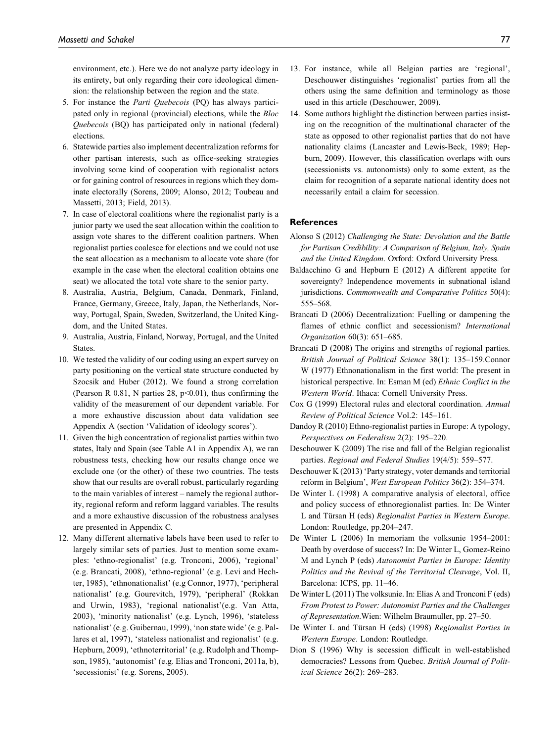environment, etc.). Here we do not analyze party ideology in its entirety, but only regarding their core ideological dimension: the relationship between the region and the state.

- 5. For instance the Parti Quebecois (PQ) has always participated only in regional (provincial) elections, while the Bloc Quebecois (BQ) has participated only in national (federal) elections.
- 6. Statewide parties also implement decentralization reforms for other partisan interests, such as office-seeking strategies involving some kind of cooperation with regionalist actors or for gaining control of resources in regions which they dominate electorally (Sorens, 2009; Alonso, 2012; Toubeau and Massetti, 2013; Field, 2013).
- 7. In case of electoral coalitions where the regionalist party is a junior party we used the seat allocation within the coalition to assign vote shares to the different coalition partners. When regionalist parties coalesce for elections and we could not use the seat allocation as a mechanism to allocate vote share (for example in the case when the electoral coalition obtains one seat) we allocated the total vote share to the senior party.
- 8. Australia, Austria, Belgium, Canada, Denmark, Finland, France, Germany, Greece, Italy, Japan, the Netherlands, Norway, Portugal, Spain, Sweden, Switzerland, the United Kingdom, and the United States.
- 9. Australia, Austria, Finland, Norway, Portugal, and the United States.
- 10. We tested the validity of our coding using an expert survey on party positioning on the vertical state structure conducted by Szocsik and Huber (2012). We found a strong correlation (Pearson R 0.81, N parties 28,  $p<0.01$ ), thus confirming the validity of the measurement of our dependent variable. For a more exhaustive discussion about data validation see Appendix A (section 'Validation of ideology scores').
- 11. Given the high concentration of regionalist parties within two states, Italy and Spain (see Table A1 in Appendix A), we ran robustness tests, checking how our results change once we exclude one (or the other) of these two countries. The tests show that our results are overall robust, particularly regarding to the main variables of interest – namely the regional authority, regional reform and reform laggard variables. The results and a more exhaustive discussion of the robustness analyses are presented in Appendix C.
- 12. Many different alternative labels have been used to refer to largely similar sets of parties. Just to mention some examples: 'ethno-regionalist' (e.g. Tronconi, 2006), 'regional' (e.g. Brancati, 2008), 'ethno-regional' (e.g. Levi and Hechter, 1985), 'ethnonationalist' (e.g Connor, 1977), 'peripheral nationalist' (e.g. Gourevitch, 1979), 'peripheral' (Rokkan and Urwin, 1983), 'regional nationalist'(e.g. Van Atta, 2003), 'minority nationalist' (e.g. Lynch, 1996), 'stateless nationalist' (e.g. Guibernau, 1999), 'non state wide' (e.g. Pallares et al, 1997), 'stateless nationalist and regionalist' (e.g. Hepburn, 2009), 'ethnoterritorial' (e.g. Rudolph and Thompson, 1985), 'autonomist' (e.g. Elias and Tronconi, 2011a, b), 'secessionist' (e.g. Sorens, 2005).
- 13. For instance, while all Belgian parties are 'regional', Deschouwer distinguishes 'regionalist' parties from all the others using the same definition and terminology as those used in this article (Deschouwer, 2009).
- 14. Some authors highlight the distinction between parties insisting on the recognition of the multinational character of the state as opposed to other regionalist parties that do not have nationality claims (Lancaster and Lewis-Beck, 1989; Hepburn, 2009). However, this classification overlaps with ours (secessionists vs. autonomists) only to some extent, as the claim for recognition of a separate national identity does not necessarily entail a claim for secession.

## References

- Alonso S (2012) Challenging the State: Devolution and the Battle for Partisan Credibility: A Comparison of Belgium, Italy, Spain and the United Kingdom. Oxford: Oxford University Press.
- Baldacchino G and Hepburn E (2012) A different appetite for sovereignty? Independence movements in subnational island jurisdictions. Commonwealth and Comparative Politics 50(4): 555–568.
- Brancati D (2006) Decentralization: Fuelling or dampening the flames of ethnic conflict and secessionism? International Organization 60(3): 651–685.
- Brancati D (2008) The origins and strengths of regional parties. British Journal of Political Science 38(1): 135–159.Connor W (1977) Ethnonationalism in the first world: The present in historical perspective. In: Esman M (ed) Ethnic Conflict in the Western World. Ithaca: Cornell University Press.
- Cox G (1999) Electoral rules and electoral coordination. Annual Review of Political Science Vol.2: 145–161.
- Dandoy R (2010) Ethno-regionalist parties in Europe: A typology, Perspectives on Federalism 2(2): 195–220.
- Deschouwer K (2009) The rise and fall of the Belgian regionalist parties. Regional and Federal Studies 19(4/5): 559–577.
- Deschouwer K (2013) 'Party strategy, voter demands and territorial reform in Belgium', West European Politics 36(2): 354–374.
- De Winter L (1998) A comparative analysis of electoral, office and policy success of ethnoregionalist parties. In: De Winter L and Türsan H (eds) Regionalist Parties in Western Europe. London: Routledge, pp.204–247.
- De Winter L (2006) In memoriam the volksunie 1954–2001: Death by overdose of success? In: De Winter L, Gomez-Reino M and Lynch P (eds) Autonomist Parties in Europe: Identity Politics and the Revival of the Territorial Cleavage, Vol. II, Barcelona: ICPS, pp. 11–46.
- De Winter L (2011) The volksunie. In: Elias A and Tronconi F (eds) From Protest to Power: Autonomist Parties and the Challenges of Representation.Wien: Wilhelm Braumuller, pp. 27–50.
- De Winter L and Türsan H (eds) (1998) Regionalist Parties in Western Europe. London: Routledge.
- Dion S (1996) Why is secession difficult in well-established democracies? Lessons from Quebec. British Journal of Political Science 26(2): 269–283.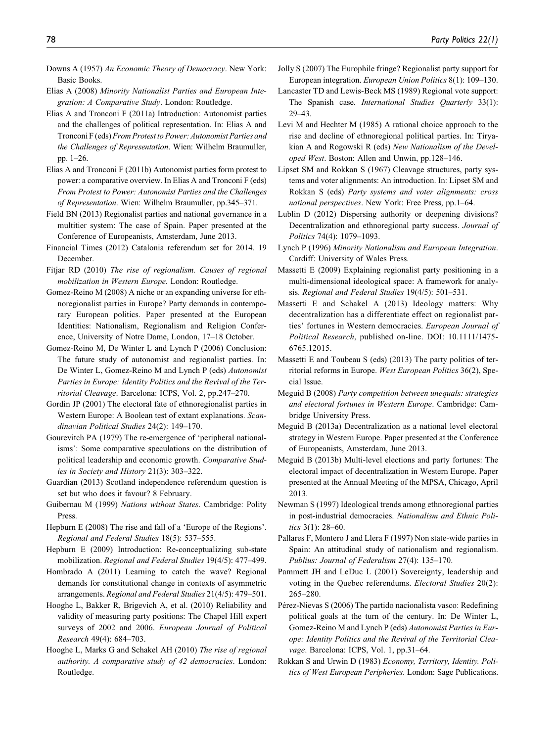- Downs A (1957) An Economic Theory of Democracy. New York: Basic Books.
- Elias A (2008) Minority Nationalist Parties and European Integration: A Comparative Study. London: Routledge.
- Elias A and Tronconi F (2011a) Introduction: Autonomist parties and the challenges of political representation. In: Elias A and Tronconi F (eds)From Protest to Power: Autonomist Parties and the Challenges of Representation. Wien: Wilhelm Braumuller, pp. 1–26.
- Elias A and Tronconi F (2011b) Autonomist parties form protest to power: a comparative overview. In Elias A and Tronconi F (eds) From Protest to Power: Autonomist Parties and the Challenges of Representation. Wien: Wilhelm Braumuller, pp.345–371.
- Field BN (2013) Regionalist parties and national governance in a multitier system: The case of Spain. Paper presented at the Conference of Europeanists, Amsterdam, June 2013.
- Financial Times (2012) Catalonia referendum set for 2014. 19 December.
- Fitjar RD (2010) The rise of regionalism. Causes of regional mobilization in Western Europe. London: Routledge.
- Gomez-Reino M (2008) A niche or an expanding universe for ethnoregionalist parties in Europe? Party demands in contemporary European politics. Paper presented at the European Identities: Nationalism, Regionalism and Religion Conference, University of Notre Dame, London, 17–18 October.
- Gomez-Reino M, De Winter L and Lynch P (2006) Conclusion: The future study of autonomist and regionalist parties. In: De Winter L, Gomez-Reino M and Lynch P (eds) Autonomist Parties in Europe: Identity Politics and the Revival of the Territorial Cleavage. Barcelona: ICPS, Vol. 2, pp.247–270.
- Gordin JP (2001) The electoral fate of ethnoregionalist parties in Western Europe: A Boolean test of extant explanations. Scandinavian Political Studies 24(2): 149–170.
- Gourevitch PA (1979) The re-emergence of 'peripheral nationalisms': Some comparative speculations on the distribution of political leadership and economic growth. Comparative Studies in Society and History 21(3): 303–322.
- Guardian (2013) Scotland independence referendum question is set but who does it favour? 8 February.
- Guibernau M (1999) Nations without States. Cambridge: Polity Press.
- Hepburn E (2008) The rise and fall of a 'Europe of the Regions'. Regional and Federal Studies 18(5): 537–555.
- Hepburn E (2009) Introduction: Re-conceptualizing sub-state mobilization. Regional and Federal Studies 19(4/5): 477–499.
- Hombrado A (2011) Learning to catch the wave? Regional demands for constitutional change in contexts of asymmetric arrangements. Regional and Federal Studies 21(4/5): 479–501.
- Hooghe L, Bakker R, Brigevich A, et al. (2010) Reliability and validity of measuring party positions: The Chapel Hill expert surveys of 2002 and 2006. European Journal of Political Research 49(4): 684–703.
- Hooghe L, Marks G and Schakel AH (2010) The rise of regional authority. A comparative study of 42 democracies. London: Routledge.
- Jolly S (2007) The Europhile fringe? Regionalist party support for European integration. European Union Politics 8(1): 109–130.
- Lancaster TD and Lewis-Beck MS (1989) Regional vote support: The Spanish case. International Studies Quarterly 33(1): 29–43.
- Levi M and Hechter M (1985) A rational choice approach to the rise and decline of ethnoregional political parties. In: Tiryakian A and Rogowski R (eds) New Nationalism of the Developed West. Boston: Allen and Unwin, pp.128–146.
- Lipset SM and Rokkan S (1967) Cleavage structures, party systems and voter alignments: An introduction. In: Lipset SM and Rokkan S (eds) Party systems and voter alignments: cross national perspectives. New York: Free Press, pp.1–64.
- Lublin D (2012) Dispersing authority or deepening divisions? Decentralization and ethnoregional party success. Journal of Politics 74(4): 1079–1093.
- Lynch P (1996) Minority Nationalism and European Integration. Cardiff: University of Wales Press.
- Massetti E (2009) Explaining regionalist party positioning in a multi-dimensional ideological space: A framework for analysis. Regional and Federal Studies 19(4/5): 501–531.
- Massetti E and Schakel A (2013) Ideology matters: Why decentralization has a differentiate effect on regionalist parties' fortunes in Western democracies. European Journal of Political Research, published on-line. DOI: 10.1111/1475- 6765.12015.
- Massetti E and Toubeau S (eds) (2013) The party politics of territorial reforms in Europe. West European Politics 36(2), Special Issue.
- Meguid B (2008) Party competition between unequals: strategies and electoral fortunes in Western Europe. Cambridge: Cambridge University Press.
- Meguid B (2013a) Decentralization as a national level electoral strategy in Western Europe. Paper presented at the Conference of Europeanists, Amsterdam, June 2013.
- Meguid B (2013b) Multi-level elections and party fortunes: The electoral impact of decentralization in Western Europe. Paper presented at the Annual Meeting of the MPSA, Chicago, April 2013.
- Newman S (1997) Ideological trends among ethnoregional parties in post-industrial democracies. Nationalism and Ethnic Politics 3(1): 28–60.
- Pallares F, Montero J and Llera F (1997) Non state-wide parties in Spain: An attitudinal study of nationalism and regionalism. Publius: Journal of Federalism 27(4): 135–170.
- Pammett JH and LeDuc L (2001) Sovereignty, leadership and voting in the Quebec referendums. Electoral Studies 20(2): 265–280.
- Pérez-Nievas S (2006) The partido nacionalista vasco: Redefining political goals at the turn of the century. In: De Winter L, Gomez-Reino M and Lynch P (eds) Autonomist Parties in Europe: Identity Politics and the Revival of the Territorial Cleavage. Barcelona: ICPS, Vol. 1, pp.31–64.
- Rokkan S and Urwin D (1983) Economy, Territory, Identity. Politics of West European Peripheries. London: Sage Publications.